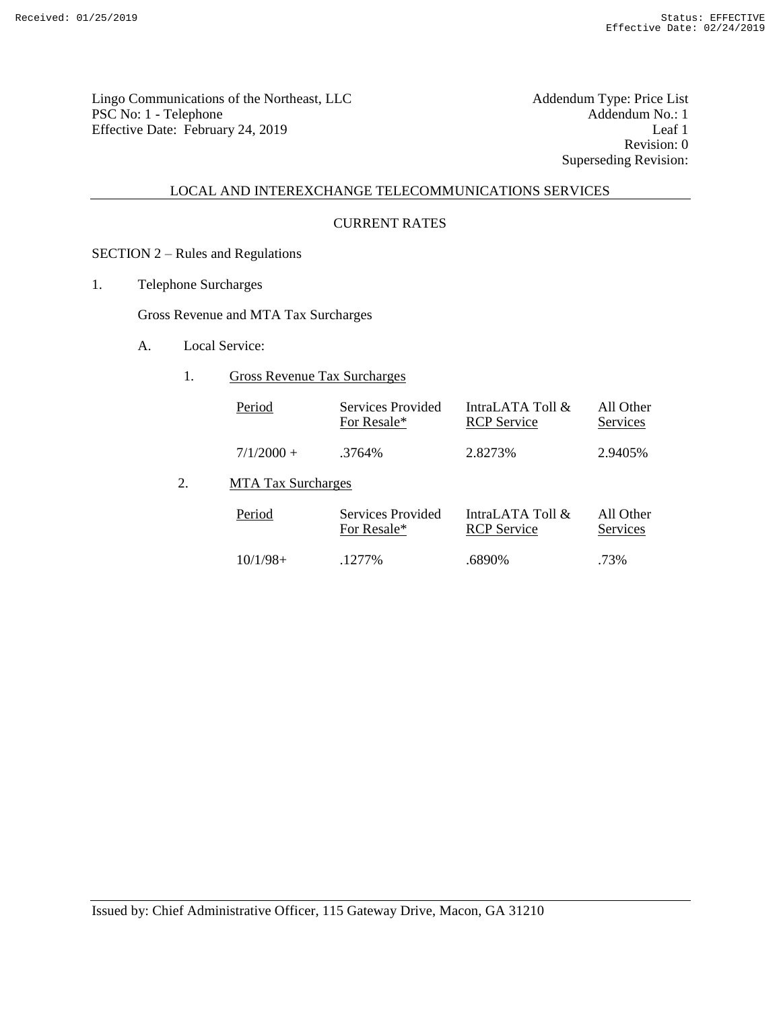Lingo Communications of the Northeast, LLC<br>
PSC No: 1 - Telephone Addendum No.: 1 PSC No: 1 - Telephone Addendum No.: 1 Effective Date: February 24, 2019 Leaf 1

Revision: 0 Superseding Revision:

# LOCAL AND INTEREXCHANGE TELECOMMUNICATIONS SERVICES

#### CURRENT RATES

# SECTION 2 – Rules and Regulations

1. Telephone Surcharges

Gross Revenue and MTA Tax Surcharges

- A. Local Service:
	- 1. Gross Revenue Tax Surcharges

| Period<br>Services Provided<br>For Resale* |        | IntraLATA Toll $\&$<br><b>RCP</b> Service | All Other<br>Services |
|--------------------------------------------|--------|-------------------------------------------|-----------------------|
| $7/1/2000 +$                               | .3764% | 2.8273%                                   | 2.9405\%              |

2. MTA Tax Surcharges

| Period     | Services Provided<br>For Resale* |        | All Other<br>Services |
|------------|----------------------------------|--------|-----------------------|
| $10/1/98+$ | $1277\%$                         | .6890% | .73%                  |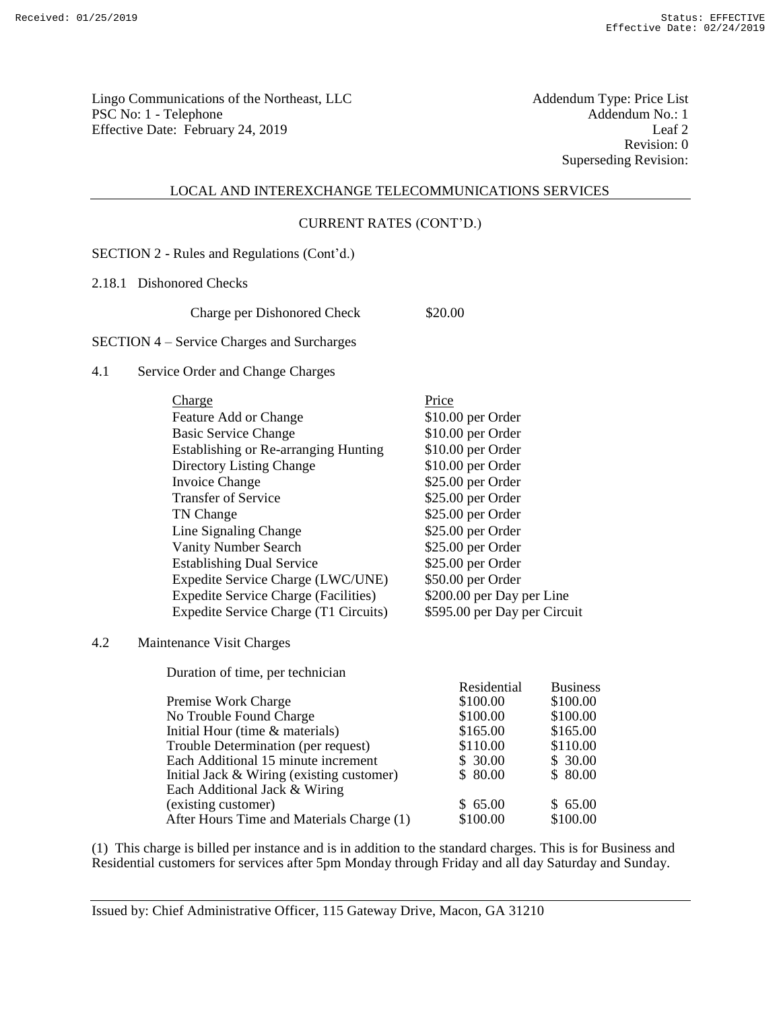Lingo Communications of the Northeast, LLC<br>
PSC No: 1 - Telephone Addendum No.: 1 PSC No: 1 - Telephone Addendum No.: 1<br>
Effective Date: February 24, 2019 [Leaf 2] Effective Date: February 24, 2019

Revision: 0 Superseding Revision:

#### LOCAL AND INTEREXCHANGE TELECOMMUNICATIONS SERVICES

#### CURRENT RATES (CONT'D.)

SECTION 2 - Rules and Regulations (Cont'd.)

2.18.1 Dishonored Checks

Charge per Dishonored Check \$20.00

SECTION 4 – Service Charges and Surcharges

## 4.1 Service Order and Change Charges

| Charge                                      | Price                        |
|---------------------------------------------|------------------------------|
| Feature Add or Change                       | \$10.00 per Order            |
| <b>Basic Service Change</b>                 | \$10.00 per Order            |
| Establishing or Re-arranging Hunting        | \$10.00 per Order            |
| Directory Listing Change                    | \$10.00 per Order            |
| Invoice Change                              | \$25.00 per Order            |
| <b>Transfer of Service</b>                  | \$25.00 per Order            |
| TN Change                                   | \$25.00 per Order            |
| Line Signaling Change                       | \$25.00 per Order            |
| <b>Vanity Number Search</b>                 | $$25.00$ per Order           |
| <b>Establishing Dual Service</b>            | \$25.00 per Order            |
| Expedite Service Charge (LWC/UNE)           | \$50.00 per Order            |
| <b>Expedite Service Charge (Facilities)</b> | \$200.00 per Day per Line    |
| Expedite Service Charge (T1 Circuits)       | \$595.00 per Day per Circuit |

4.2 Maintenance Visit Charges

Duration of time, per technician

| <b>Duration</b> of three, per technician    |             |                 |
|---------------------------------------------|-------------|-----------------|
|                                             | Residential | <b>Business</b> |
| Premise Work Charge                         | \$100.00    | \$100.00        |
| No Trouble Found Charge                     | \$100.00    | \$100.00        |
| Initial Hour (time & materials)             | \$165.00    | \$165.00        |
| Trouble Determination (per request)         | \$110.00    | \$110.00        |
| Each Additional 15 minute increment         | \$30.00     | \$30.00         |
| Initial Jack $& Wiring$ (existing customer) | \$80.00     | \$80.00         |
| Each Additional Jack & Wiring               |             |                 |
| (existing customer)                         | \$65.00     | \$65.00         |
| After Hours Time and Materials Charge (1)   | \$100.00    | \$100.00        |
|                                             |             |                 |

(1) This charge is billed per instance and is in addition to the standard charges. This is for Business and Residential customers for services after 5pm Monday through Friday and all day Saturday and Sunday.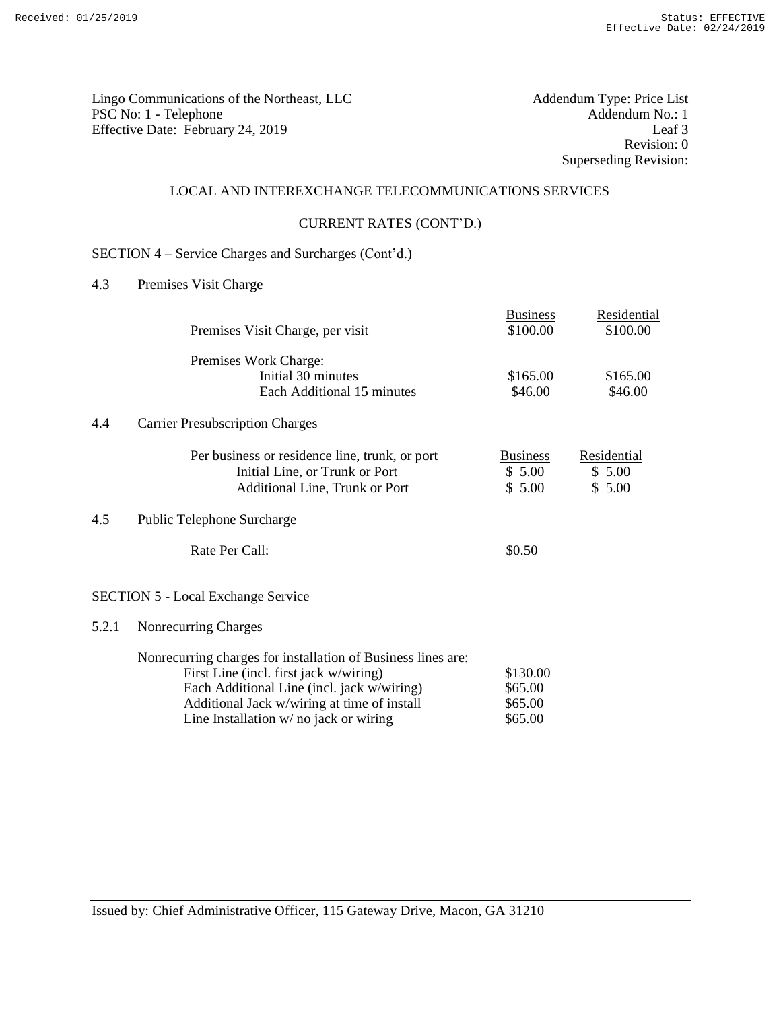Lingo Communications of the Northeast, LLC<br>
PSC No: 1 - Telephone Addendum No.: 1 PSC No: 1 - Telephone Addendum No.: 1 Effective Date: February 24, 2019 Leaf 3

Revision: 0 Superseding Revision:

## LOCAL AND INTEREXCHANGE TELECOMMUNICATIONS SERVICES

#### CURRENT RATES (CONT'D.)

# SECTION 4 – Service Charges and Surcharges (Cont'd.)

4.3 Premises Visit Charge

|       |                                                                                                        | <b>Business</b> | Residential |
|-------|--------------------------------------------------------------------------------------------------------|-----------------|-------------|
|       | Premises Visit Charge, per visit                                                                       | \$100.00        | \$100.00    |
|       | Premises Work Charge:                                                                                  |                 |             |
|       | Initial 30 minutes                                                                                     | \$165.00        | \$165.00    |
|       | Each Additional 15 minutes                                                                             | \$46.00         | \$46.00     |
| 4.4   | <b>Carrier Presubscription Charges</b>                                                                 |                 |             |
|       | Per business or residence line, trunk, or port                                                         | <b>Business</b> | Residential |
|       | Initial Line, or Trunk or Port                                                                         | \$5.00          | \$5.00      |
|       | Additional Line, Trunk or Port                                                                         | \$5.00          | \$5.00      |
| 4.5   | Public Telephone Surcharge                                                                             |                 |             |
|       | Rate Per Call:                                                                                         | \$0.50          |             |
|       | <b>SECTION 5 - Local Exchange Service</b>                                                              |                 |             |
| 5.2.1 | Nonrecurring Charges                                                                                   |                 |             |
|       | Nonrecurring charges for installation of Business lines are:<br>First Line (incl. first jack w/wiring) | \$130.00        |             |

Each Additional Line (incl. jack w/wiring) \$65.00<br>Additional Jack w/wiring at time of install \$65.00 Additional Jack w/wiring at time of install  $$65.00$ <br>Line Installation w/ no jack or wiring  $$65.00$ 

Line Installation  $w/$  no jack or wiring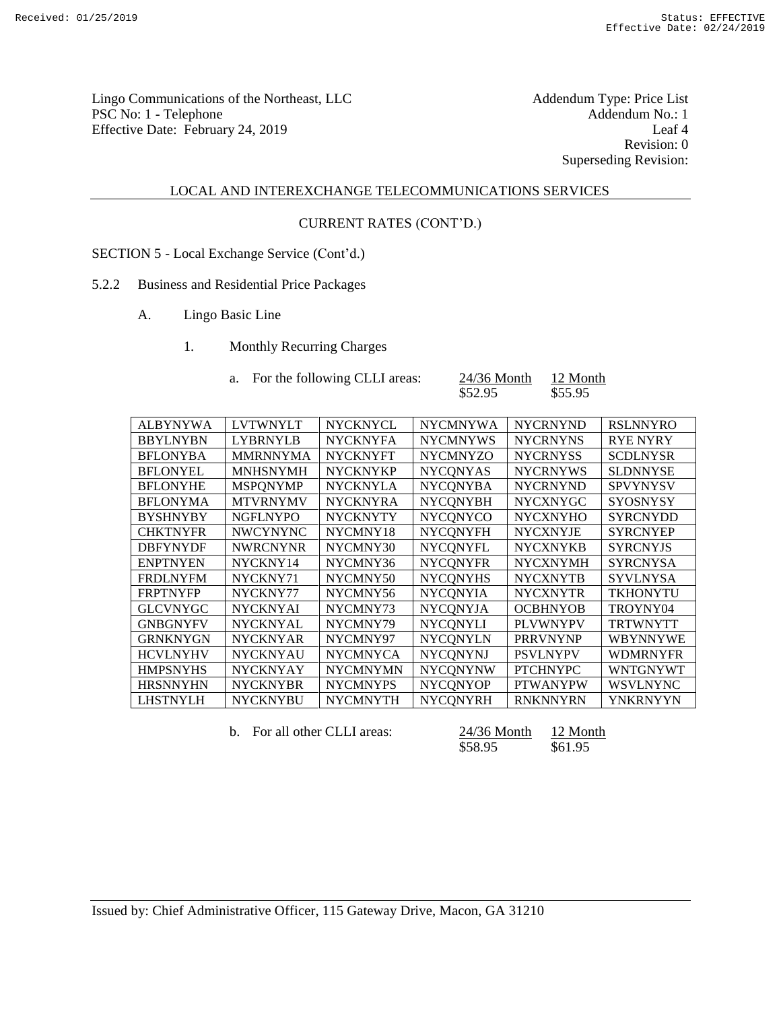Lingo Communications of the Northeast, LLC<br>
PSC No: 1 - Telephone Addendum No.: 1 PSC No: 1 - Telephone Addendum No.: 1<br>Effective Date: February 24, 2019 Leaf 4 Effective Date: February 24, 2019

Revision: 0 Superseding Revision:

## LOCAL AND INTEREXCHANGE TELECOMMUNICATIONS SERVICES

#### CURRENT RATES (CONT'D.)

- SECTION 5 Local Exchange Service (Cont'd.)
- 5.2.2 Business and Residential Price Packages
	- A. Lingo Basic Line
		- 1. Monthly Recurring Charges

| a. For the following CLLI areas: | $24/36$ Month | 12 Month |
|----------------------------------|---------------|----------|
|                                  | \$52.95       | \$55.95  |

| <b>ALBYNYWA</b> | <b>LVTWNYLT</b> | <b>NYCKNYCL</b> | <b>NYCMNYWA</b> | <b>NYCRNYND</b> | <b>RSLNNYRO</b> |
|-----------------|-----------------|-----------------|-----------------|-----------------|-----------------|
| <b>BBYLNYBN</b> | <b>LYBRNYLB</b> | <b>NYCKNYFA</b> | <b>NYCMNYWS</b> | <b>NYCRNYNS</b> | <b>RYE NYRY</b> |
| <b>BFLONYBA</b> | <b>MMRNNYMA</b> | <b>NYCKNYFT</b> | <b>NYCMNYZO</b> | <b>NYCRNYSS</b> | <b>SCDLNYSR</b> |
| <b>BFLONYEL</b> | <b>MNHSNYMH</b> | <b>NYCKNYKP</b> | <b>NYCONYAS</b> | <b>NYCRNYWS</b> | <b>SLDNNYSE</b> |
| <b>BFLONYHE</b> | <b>MSPONYMP</b> | <b>NYCKNYLA</b> | <b>NYCONYBA</b> | <b>NYCRNYND</b> | <b>SPVYNYSV</b> |
| <b>BFLONYMA</b> | <b>MTVRNYMV</b> | <b>NYCKNYRA</b> | <b>NYCONYBH</b> | <b>NYCXNYGC</b> | <b>SYOSNYSY</b> |
| <b>BYSHNYBY</b> | <b>NGFLNYPO</b> | <b>NYCKNYTY</b> | <b>NYCONYCO</b> | <b>NYCXNYHO</b> | <b>SYRCNYDD</b> |
| <b>CHKTNYFR</b> | <b>NWCYNYNC</b> | NYCMNY18        | <b>NYCONYFH</b> | <b>NYCXNYJE</b> | <b>SYRCNYEP</b> |
| <b>DBFYNYDF</b> | <b>NWRCNYNR</b> | NYCMNY30        | <b>NYCONYFL</b> | <b>NYCXNYKB</b> | <b>SYRCNYJS</b> |
| <b>ENPTNYEN</b> | NYCKNY14        | NYCMNY36        | <b>NYCONYFR</b> | <b>NYCXNYMH</b> | <b>SYRCNYSA</b> |
| <b>FRDLNYFM</b> | NYCKNY71        | NYCMNY50        | <b>NYCONYHS</b> | <b>NYCXNYTB</b> | <b>SYVLNYSA</b> |
| <b>FRPTNYFP</b> | NYCKNY77        | NYCMNY56        | <b>NYCONYIA</b> | <b>NYCXNYTR</b> | <b>TKHONYTU</b> |
| <b>GLCVNYGC</b> | <b>NYCKNYAI</b> | NYCMNY73        | <b>NYCONYJA</b> | <b>OCBHNYOB</b> | TROYNY04        |
| <b>GNBGNYFV</b> | <b>NYCKNYAL</b> | NYCMNY79        | <b>NYCONYLI</b> | <b>PLVWNYPV</b> | <b>TRTWNYTT</b> |
| <b>GRNKNYGN</b> | <b>NYCKNYAR</b> | NYCMNY97        | <b>NYCONYLN</b> | <b>PRRVNYNP</b> | <b>WBYNNYWE</b> |
| <b>HCVLNYHV</b> | <b>NYCKNYAU</b> | <b>NYCMNYCA</b> | <b>NYCONYNJ</b> | <b>PSVLNYPV</b> | <b>WDMRNYFR</b> |
| <b>HMPSNYHS</b> | <b>NYCKNYAY</b> | <b>NYCMNYMN</b> | <b>NYCONYNW</b> | <b>PTCHNYPC</b> | <b>WNTGNYWT</b> |
| <b>HRSNNYHN</b> | <b>NYCKNYBR</b> | <b>NYCMNYPS</b> | <b>NYCONYOP</b> | <b>PTWANYPW</b> | <b>WSVLNYNC</b> |
| <b>LHSTNYLH</b> | <b>NYCKNYBU</b> | <b>NYCMNYTH</b> | <b>NYCONYRH</b> | <b>RNKNNYRN</b> | <b>YNKRNYYN</b> |
|                 |                 |                 |                 |                 |                 |

```
b. For all other CLLI areas: \frac{24/36 \text{ month}}{558.95} \frac{12 \text{ month}}{561.95}$58.95
```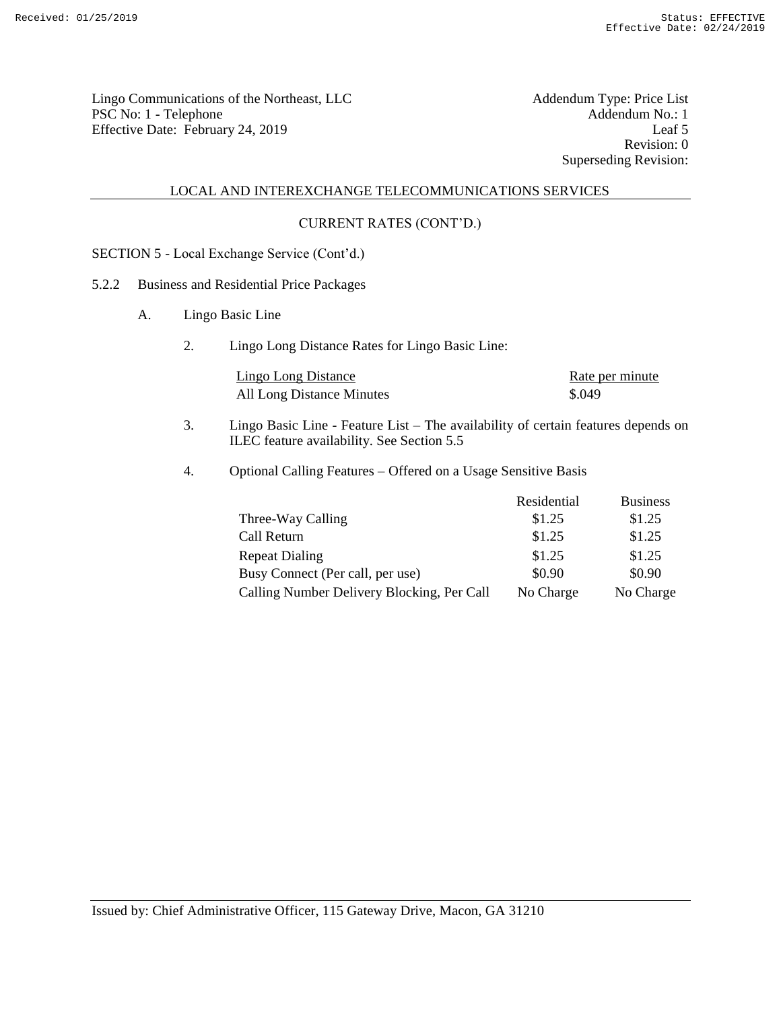Lingo Communications of the Northeast, LLC<br>
PSC No: 1 - Telephone Addendum No.: 1 PSC No: 1 - Telephone Addendum No.: 1<br>
Effective Date: February 24, 2019 [Leaf 5] Effective Date: February 24, 2019

Revision: 0 Superseding Revision:

#### LOCAL AND INTEREXCHANGE TELECOMMUNICATIONS SERVICES

## CURRENT RATES (CONT'D.)

SECTION 5 - Local Exchange Service (Cont'd.)

## 5.2.2 Business and Residential Price Packages

- A. Lingo Basic Line
	- 2. Lingo Long Distance Rates for Lingo Basic Line:

| Lingo Long Distance       | Rate per minute |
|---------------------------|-----------------|
| All Long Distance Minutes | \$.049          |

- 3. Lingo Basic Line Feature List The availability of certain features depends on ILEC feature availability. See Section 5.5
- 4. Optional Calling Features Offered on a Usage Sensitive Basis

|                                            | Residential | <b>Business</b> |
|--------------------------------------------|-------------|-----------------|
| Three-Way Calling                          | \$1.25      | \$1.25          |
| Call Return                                | \$1.25      | \$1.25          |
| <b>Repeat Dialing</b>                      | \$1.25      | \$1.25          |
| Busy Connect (Per call, per use)           | \$0.90      | \$0.90          |
| Calling Number Delivery Blocking, Per Call | No Charge   | No Charge       |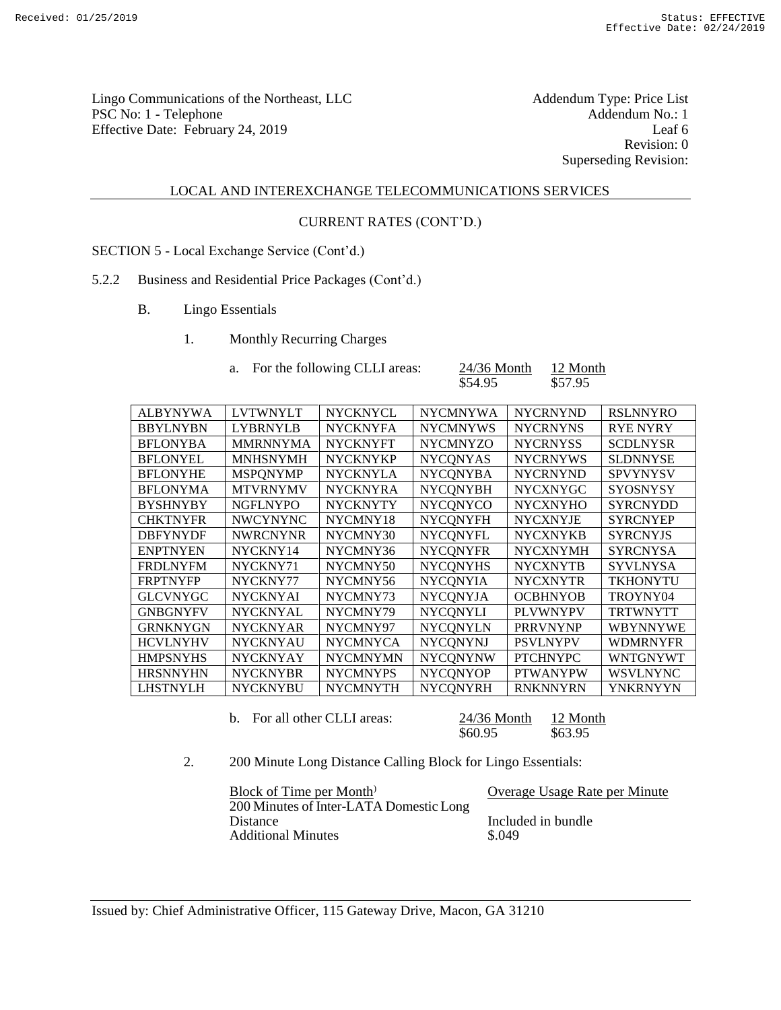Lingo Communications of the Northeast, LLC<br>
PSC No: 1 - Telephone Addendum No.: 1 PSC No: 1 - Telephone Addendum No.: 1<br>
Effective Date: February 24, 2019 [Leaf 6] [Leaf 6] Effective Date: February 24, 2019

Revision: 0 Superseding Revision:

#### LOCAL AND INTEREXCHANGE TELECOMMUNICATIONS SERVICES

#### CURRENT RATES (CONT'D.)

SECTION 5 - Local Exchange Service (Cont'd.)

#### 5.2.2 Business and Residential Price Packages (Cont'd.)

- B. Lingo Essentials
	- 1. Monthly Recurring Charges

| For the following CLLI areas: | $24/36$ Month | 12 Month |
|-------------------------------|---------------|----------|
|                               | \$54.95       | \$57.95  |

| <b>LVTWNYLT</b> | <b>NYCKNYCL</b> | <b>NYCMNYWA</b> | <b>NYCRNYND</b> | <b>RSLNNYRO</b> |
|-----------------|-----------------|-----------------|-----------------|-----------------|
| <b>LYBRNYLB</b> | <b>NYCKNYFA</b> | <b>NYCMNYWS</b> | <b>NYCRNYNS</b> | <b>RYE NYRY</b> |
| <b>MMRNNYMA</b> | <b>NYCKNYFT</b> | <b>NYCMNYZO</b> | <b>NYCRNYSS</b> | <b>SCDLNYSR</b> |
| <b>MNHSNYMH</b> | <b>NYCKNYKP</b> | <b>NYCONYAS</b> | <b>NYCRNYWS</b> | <b>SLDNNYSE</b> |
| <b>MSPONYMP</b> | <b>NYCKNYLA</b> | <b>NYCONYBA</b> | <b>NYCRNYND</b> | <b>SPVYNYSV</b> |
| <b>MTVRNYMV</b> | <b>NYCKNYRA</b> | <b>NYCONYBH</b> | <b>NYCXNYGC</b> | <b>SYOSNYSY</b> |
| <b>NGFLNYPO</b> | <b>NYCKNYTY</b> | <b>NYCONYCO</b> | <b>NYCXNYHO</b> | <b>SYRCNYDD</b> |
| <b>NWCYNYNC</b> | NYCMNY18        | <b>NYCONYFH</b> | <b>NYCXNYJE</b> | <b>SYRCNYEP</b> |
| <b>NWRCNYNR</b> | NYCMNY30        | <b>NYCONYFL</b> | <b>NYCXNYKB</b> | <b>SYRCNYJS</b> |
| NYCKNY14        | NYCMNY36        | <b>NYCONYFR</b> | <b>NYCXNYMH</b> | <b>SYRCNYSA</b> |
| NYCKNY71        | NYCMNY50        | <b>NYCONYHS</b> | <b>NYCXNYTB</b> | <b>SYVLNYSA</b> |
| NYCKNY77        | NYCMNY56        | <b>NYCONYIA</b> | <b>NYCXNYTR</b> | <b>TKHONYTU</b> |
| <b>NYCKNYAI</b> | NYCMNY73        | <b>NYCONYJA</b> | <b>OCBHNYOB</b> | TROYNY04        |
| <b>NYCKNYAL</b> | NYCMNY79        | <b>NYCONYLI</b> | <b>PLVWNYPV</b> | <b>TRTWNYTT</b> |
| <b>NYCKNYAR</b> | NYCMNY97        | <b>NYCQNYLN</b> | <b>PRRVNYNP</b> | <b>WBYNNYWE</b> |
| <b>NYCKNYAU</b> | <b>NYCMNYCA</b> | <b>NYCONYNJ</b> | <b>PSVLNYPV</b> | <b>WDMRNYFR</b> |
| <b>NYCKNYAY</b> | <b>NYCMNYMN</b> | <b>NYCONYNW</b> | <b>PTCHNYPC</b> | <b>WNTGNYWT</b> |
| <b>NYCKNYBR</b> | <b>NYCMNYPS</b> | <b>NYCONYOP</b> | <b>PTWANYPW</b> | <b>WSVLNYNC</b> |
| <b>NYCKNYBU</b> | <b>NYCMNYTH</b> | <b>NYCONYRH</b> | <b>RNKNNYRN</b> | <b>YNKRNYYN</b> |
|                 |                 |                 |                 |                 |

b. For all other CLLI areas:  $\frac{24/36 \text{ month}}{860.95}$   $\frac{12 \text{ month}}{863.95}$  $$63.95$ 

2. 200 Minute Long Distance Calling Block for Lingo Essentials:

Block of Time per Month<sup>)</sup> Overage Usage Rate per Minute 200 Minutes of Inter-LATA Domestic Long Distance Included in bundle<br>Additional Minutes 5.049 Additional Minutes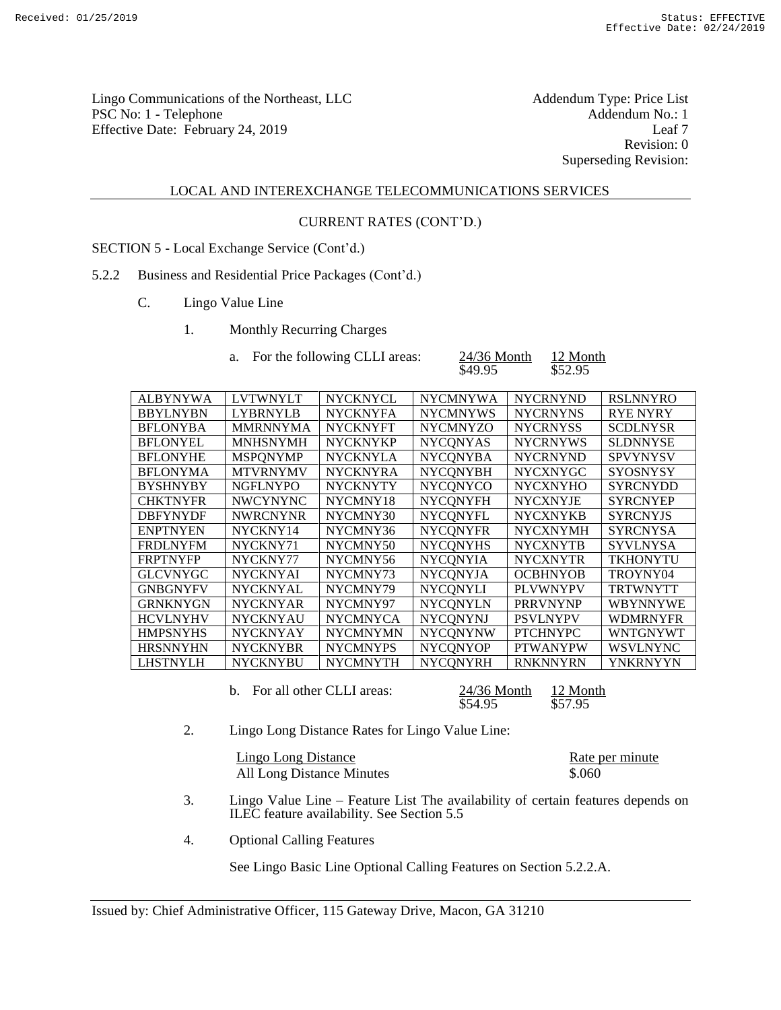Lingo Communications of the Northeast, LLC<br>
PSC No: 1 - Telephone Addendum No.: 1 PSC No: 1 - Telephone Addendum No.: 1<br>
Effective Date: February 24, 2019 [eaf 7] Effective Date: February 24, 2019

Revision: 0 Superseding Revision:

#### LOCAL AND INTEREXCHANGE TELECOMMUNICATIONS SERVICES

## CURRENT RATES (CONT'D.)

SECTION 5 - Local Exchange Service (Cont'd.)

## 5.2.2 Business and Residential Price Packages (Cont'd.)

- C. Lingo Value Line
	- 1. Monthly Recurring Charges

| For the following CLLI areas: | $24/36$ Month | 12 Month |
|-------------------------------|---------------|----------|
|                               |               |          |

| $24/36$ Month | 12 Month |
|---------------|----------|
| \$49.95       | \$52.95  |

| <b>ALBYNYWA</b> | <b>LVTWNYLT</b> | <b>NYCKNYCL</b> | <b>NYCMNYWA</b> | <b>NYCRNYND</b> | <b>RSLNNYRO</b> |
|-----------------|-----------------|-----------------|-----------------|-----------------|-----------------|
| <b>BBYLNYBN</b> | <b>LYBRNYLB</b> | <b>NYCKNYFA</b> | <b>NYCMNYWS</b> | <b>NYCRNYNS</b> | <b>RYE NYRY</b> |
| <b>BFLONYBA</b> | <b>MMRNNYMA</b> | <b>NYCKNYFT</b> | <b>NYCMNYZO</b> | <b>NYCRNYSS</b> | <b>SCDLNYSR</b> |
| <b>BFLONYEL</b> | <b>MNHSNYMH</b> | <b>NYCKNYKP</b> | <b>NYCONYAS</b> | <b>NYCRNYWS</b> | <b>SLDNNYSE</b> |
| <b>BFLONYHE</b> | <b>MSPONYMP</b> | <b>NYCKNYLA</b> | <b>NYCONYBA</b> | <b>NYCRNYND</b> | <b>SPVYNYSV</b> |
| <b>BFLONYMA</b> | <b>MTVRNYMV</b> | <b>NYCKNYRA</b> | <b>NYCONYBH</b> | <b>NYCXNYGC</b> | <b>SYOSNYSY</b> |
| <b>BYSHNYBY</b> | <b>NGFLNYPO</b> | <b>NYCKNYTY</b> | <b>NYCONYCO</b> | <b>NYCXNYHO</b> | <b>SYRCNYDD</b> |
| <b>CHKTNYFR</b> | <b>NWCYNYNC</b> | NYCMNY18        | <b>NYCONYFH</b> | <b>NYCXNYJE</b> | <b>SYRCNYEP</b> |
| <b>DBFYNYDF</b> | <b>NWRCNYNR</b> | NYCMNY30        | <b>NYCONYFL</b> | <b>NYCXNYKB</b> | <b>SYRCNYJS</b> |
| <b>ENPTNYEN</b> | NYCKNY14        | NYCMNY36        | <b>NYCONYFR</b> | <b>NYCXNYMH</b> | <b>SYRCNYSA</b> |
| <b>FRDLNYFM</b> | NYCKNY71        | NYCMNY50        | <b>NYCONYHS</b> | <b>NYCXNYTB</b> | <b>SYVLNYSA</b> |
| <b>FRPTNYFP</b> | NYCKNY77        | NYCMNY56        | <b>NYCONYIA</b> | <b>NYCXNYTR</b> | <b>TKHONYTU</b> |
| <b>GLCVNYGC</b> | <b>NYCKNYAI</b> | NYCMNY73        | <b>NYCONYJA</b> | <b>OCBHNYOB</b> | TROYNY04        |
| <b>GNBGNYFV</b> | <b>NYCKNYAL</b> | NYCMNY79        | <b>NYCQNYLI</b> | <b>PLVWNYPV</b> | <b>TRTWNYTT</b> |
| <b>GRNKNYGN</b> | <b>NYCKNYAR</b> | NYCMNY97        | <b>NYCQNYLN</b> | <b>PRRVNYNP</b> | <b>WBYNNYWE</b> |
| <b>HCVLNYHV</b> | <b>NYCKNYAU</b> | <b>NYCMNYCA</b> | <b>NYCONYNJ</b> | <b>PSVLNYPV</b> | <b>WDMRNYFR</b> |
| <b>HMPSNYHS</b> | <b>NYCKNYAY</b> | <b>NYCMNYMN</b> | <b>NYCONYNW</b> | <b>PTCHNYPC</b> | <b>WNTGNYWT</b> |
| <b>HRSNNYHN</b> | <b>NYCKNYBR</b> | <b>NYCMNYPS</b> | <b>NYCONYOP</b> | <b>PTWANYPW</b> | <b>WSVLNYNC</b> |
| <b>LHSTNYLH</b> | <b>NYCKNYBU</b> | <b>NYCMNYTH</b> | <b>NYCONYRH</b> | <b>RNKNNYRN</b> | <b>YNKRNYYN</b> |

b. For all other CLLI areas:  $\frac{24/36 \text{ month}}{554.95}$   $\frac{12 \text{ month}}{557.95}$ 

24/36 Month<br>\$54.95

2. Lingo Long Distance Rates for Lingo Value Line:

| Lingo Long Distance       | Rate per minute |
|---------------------------|-----------------|
| All Long Distance Minutes | \$.060          |

- 3. Lingo Value Line Feature List The availability of certain features depends on ILEC feature availability. See Section 5.5
- 4. Optional Calling Features

See Lingo Basic Line Optional Calling Features on Section 5.2.2.A.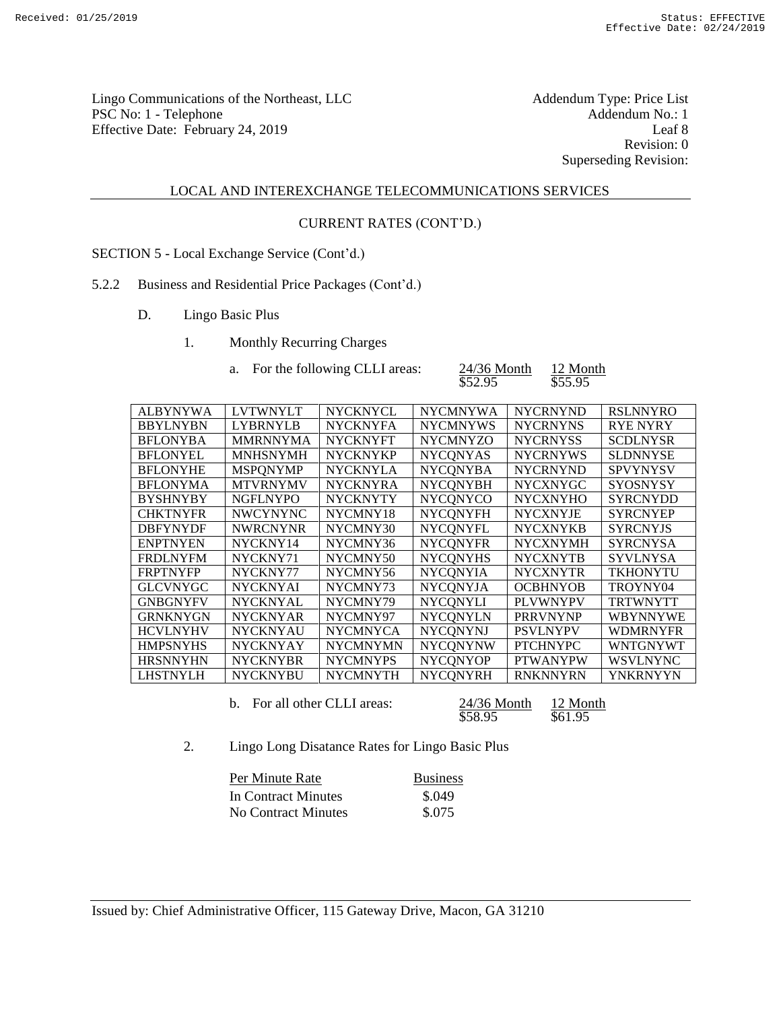Lingo Communications of the Northeast, LLC<br>
PSC No: 1 - Telephone Addendum No.: 1 PSC No: 1 - Telephone Addendum No.: 1<br>Effective Date: February 24, 2019 Leaf 8 Effective Date: February 24, 2019

Revision: 0 Superseding Revision:

## LOCAL AND INTEREXCHANGE TELECOMMUNICATIONS SERVICES

#### CURRENT RATES (CONT'D.)

SECTION 5 - Local Exchange Service (Cont'd.)

## 5.2.2 Business and Residential Price Packages (Cont'd.)

- D. Lingo Basic Plus
	- 1. Monthly Recurring Charges

| For the following CLLI areas: | $24/36$ Month | 12 Month |
|-------------------------------|---------------|----------|
|                               | \$52.95       | \$55.95  |

| <b>ALBYNYWA</b> | <b>LVTWNYLT</b> | <b>NYCKNYCL</b> | <b>NYCMNYWA</b> | <b>NYCRNYND</b> | <b>RSLNNYRO</b> |
|-----------------|-----------------|-----------------|-----------------|-----------------|-----------------|
| <b>BBYLNYBN</b> | <b>LYBRNYLB</b> | <b>NYCKNYFA</b> | <b>NYCMNYWS</b> | <b>NYCRNYNS</b> | <b>RYE NYRY</b> |
| <b>BFLONYBA</b> | <b>MMRNNYMA</b> | <b>NYCKNYFT</b> | <b>NYCMNYZO</b> | <b>NYCRNYSS</b> | <b>SCDLNYSR</b> |
| <b>BFLONYEL</b> | <b>MNHSNYMH</b> | <b>NYCKNYKP</b> | <b>NYCONYAS</b> | <b>NYCRNYWS</b> | <b>SLDNNYSE</b> |
| <b>BFLONYHE</b> | <b>MSPONYMP</b> | <b>NYCKNYLA</b> | <b>NYCONYBA</b> | <b>NYCRNYND</b> | <b>SPVYNYSV</b> |
| <b>BFLONYMA</b> | <b>MTVRNYMV</b> | <b>NYCKNYRA</b> | <b>NYCONYBH</b> | <b>NYCXNYGC</b> | <b>SYOSNYSY</b> |
| <b>BYSHNYBY</b> | <b>NGFLNYPO</b> | <b>NYCKNYTY</b> | <b>NYCONYCO</b> | <b>NYCXNYHO</b> | <b>SYRCNYDD</b> |
| <b>CHKTNYFR</b> | <b>NWCYNYNC</b> | NYCMNY18        | <b>NYCONYFH</b> | <b>NYCXNYJE</b> | <b>SYRCNYEP</b> |
| <b>DBFYNYDF</b> | <b>NWRCNYNR</b> | NYCMNY30        | <b>NYCONYFL</b> | <b>NYCXNYKB</b> | <b>SYRCNYJS</b> |
| <b>ENPTNYEN</b> | NYCKNY14        | NYCMNY36        | <b>NYCONYFR</b> | <b>NYCXNYMH</b> | <b>SYRCNYSA</b> |
| <b>FRDLNYFM</b> | NYCKNY71        | NYCMNY50        | <b>NYCONYHS</b> | <b>NYCXNYTB</b> | <b>SYVLNYSA</b> |
| <b>FRPTNYFP</b> | NYCKNY77        | NYCMNY56        | <b>NYCONYIA</b> | <b>NYCXNYTR</b> | <b>TKHONYTU</b> |
| <b>GLCVNYGC</b> | <b>NYCKNYAI</b> | NYCMNY73        | <b>NYCONYJA</b> | <b>OCBHNYOB</b> | TROYNY04        |
| <b>GNBGNYFV</b> | <b>NYCKNYAL</b> | NYCMNY79        | <b>NYCONYLI</b> | <b>PLVWNYPV</b> | <b>TRTWNYTT</b> |
| <b>GRNKNYGN</b> | <b>NYCKNYAR</b> | NYCMNY97        | <b>NYCONYLN</b> | <b>PRRVNYNP</b> | <b>WBYNNYWE</b> |
| <b>HCVLNYHV</b> | <b>NYCKNYAU</b> | <b>NYCMNYCA</b> | <b>NYCONYNJ</b> | <b>PSVLNYPV</b> | <b>WDMRNYFR</b> |
| <b>HMPSNYHS</b> | <b>NYCKNYAY</b> | <b>NYCMNYMN</b> | <b>NYCONYNW</b> | <b>PTCHNYPC</b> | <b>WNTGNYWT</b> |
| <b>HRSNNYHN</b> | <b>NYCKNYBR</b> | <b>NYCMNYPS</b> | <b>NYCONYOP</b> | <b>PTWANYPW</b> | <b>WSVLNYNC</b> |
| <b>LHSTNYLH</b> | <b>NYCKNYBU</b> | <b>NYCMNYTH</b> | <b>NYCONYRH</b> | <b>RNKNNYRN</b> | <b>YNKRNYYN</b> |
|                 |                 |                 |                 |                 |                 |

b. For all other CLLI areas:  $\frac{24/36 \text{ month}}{558.95}$   $\frac{12 \text{ month}}{561.95}$  $\overline{$61.95}$ 

2. Lingo Long Disatance Rates for Lingo Basic Plus

| Per Minute Rate     | <b>Business</b> |
|---------------------|-----------------|
| In Contract Minutes | \$.049          |
| No Contract Minutes | \$.075          |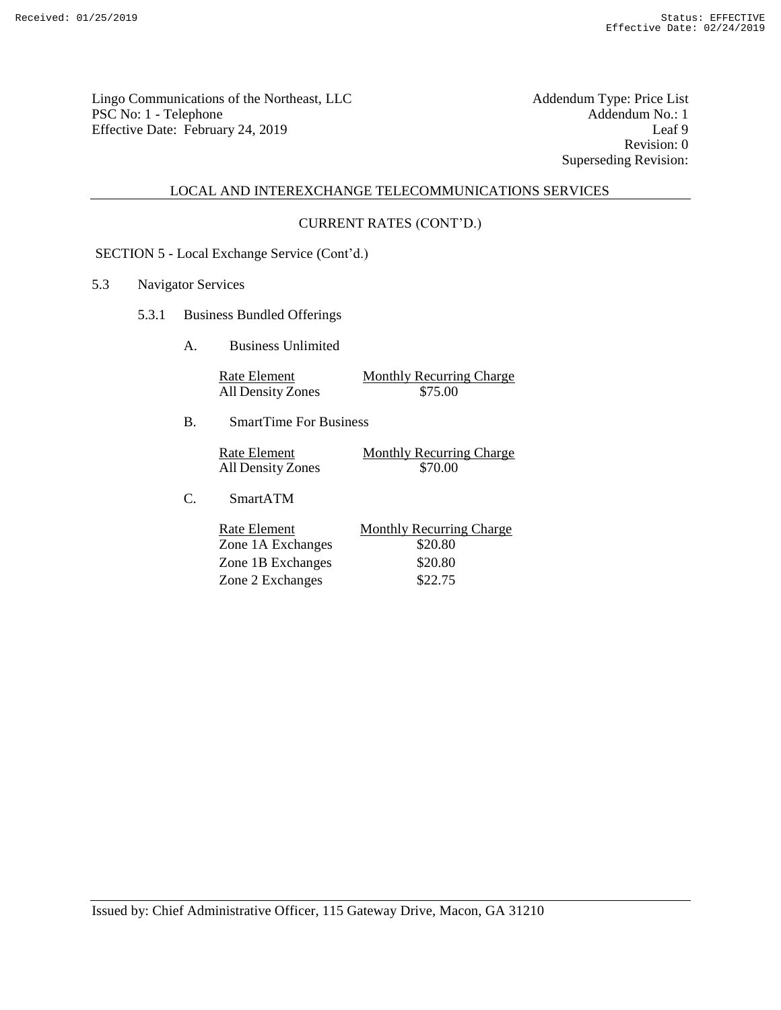Lingo Communications of the Northeast, LLC<br>
PSC No: 1 - Telephone Addendum No.: 1 PSC No: 1 - Telephone Addendum No.: 1 Effective Date: February 24, 2019 Leaf 9

Revision: 0 Superseding Revision:

## LOCAL AND INTEREXCHANGE TELECOMMUNICATIONS SERVICES

#### CURRENT RATES (CONT'D.)

SECTION 5 - Local Exchange Service (Cont'd.)

## 5.3 Navigator Services

- 5.3.1 Business Bundled Offerings
	- A. Business Unlimited

| Rate Element             | <b>Monthly Recurring Charge</b> |
|--------------------------|---------------------------------|
| <b>All Density Zones</b> | \$75.00                         |

B. SmartTime For Business

| Rate Element      | Monthly Recurring Charge |
|-------------------|--------------------------|
| All Density Zones | \$70.00                  |

C. SmartATM

| Rate Element      | <b>Monthly Recurring Charge</b> |
|-------------------|---------------------------------|
| Zone 1A Exchanges | \$20.80                         |
| Zone 1B Exchanges | \$20.80                         |
| Zone 2 Exchanges  | \$22.75                         |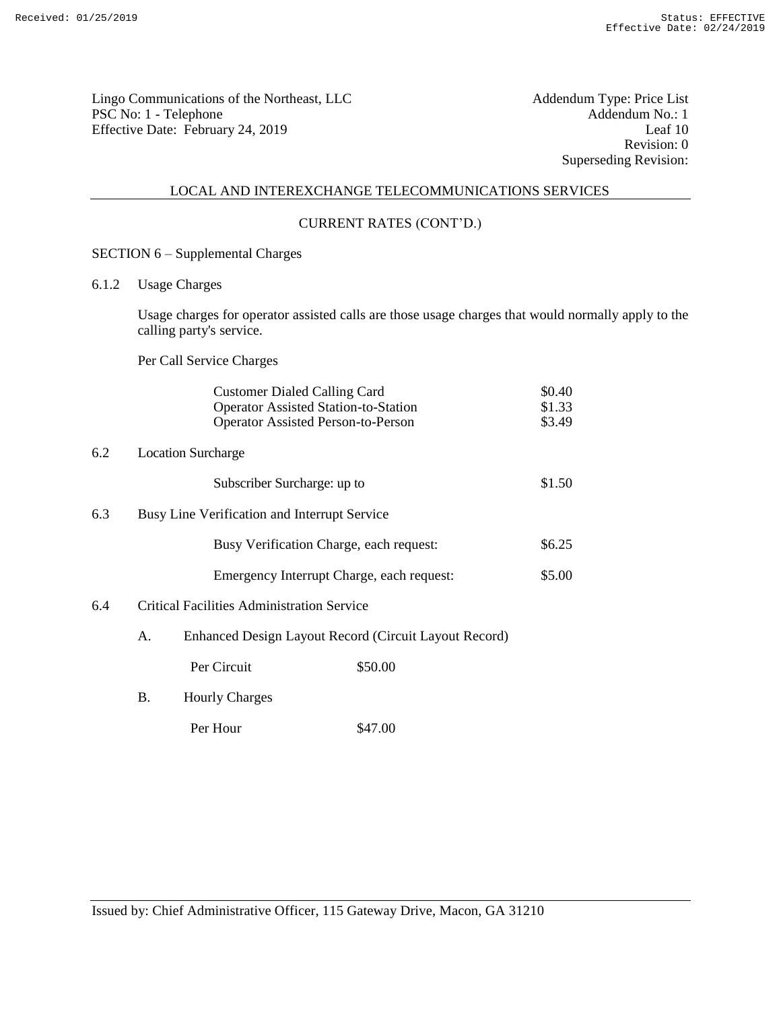Lingo Communications of the Northeast, LLC<br>
PSC No: 1 - Telephone Addendum No.: 1 PSC No: 1 - Telephone Addendum No.: 1<br>Effective Date: February 24, 2019 Leaf 10 Effective Date: February 24, 2019

Revision: 0 Superseding Revision:

## LOCAL AND INTEREXCHANGE TELECOMMUNICATIONS SERVICES

#### CURRENT RATES (CONT'D.)

- SECTION 6 Supplemental Charges
- 6.1.2 Usage Charges

Usage charges for operator assisted calls are those usage charges that would normally apply to the calling party's service.

Per Call Service Charges

|     |    |                                                   | <b>Customer Dialed Calling Card</b>                   | \$0.40 |
|-----|----|---------------------------------------------------|-------------------------------------------------------|--------|
|     |    |                                                   | <b>Operator Assisted Station-to-Station</b>           | \$1.33 |
|     |    |                                                   | <b>Operator Assisted Person-to-Person</b>             | \$3.49 |
| 6.2 |    | <b>Location Surcharge</b>                         |                                                       |        |
|     |    | Subscriber Surcharge: up to                       |                                                       | \$1.50 |
| 6.3 |    | Busy Line Verification and Interrupt Service      |                                                       |        |
|     |    |                                                   | Busy Verification Charge, each request:               | \$6.25 |
|     |    |                                                   | Emergency Interrupt Charge, each request:             | \$5.00 |
| 6.4 |    | <b>Critical Facilities Administration Service</b> |                                                       |        |
|     | А. |                                                   | Enhanced Design Layout Record (Circuit Layout Record) |        |
|     |    | Per Circuit                                       | \$50.00                                               |        |
|     | Β. | <b>Hourly Charges</b>                             |                                                       |        |

Per Hour \$47.00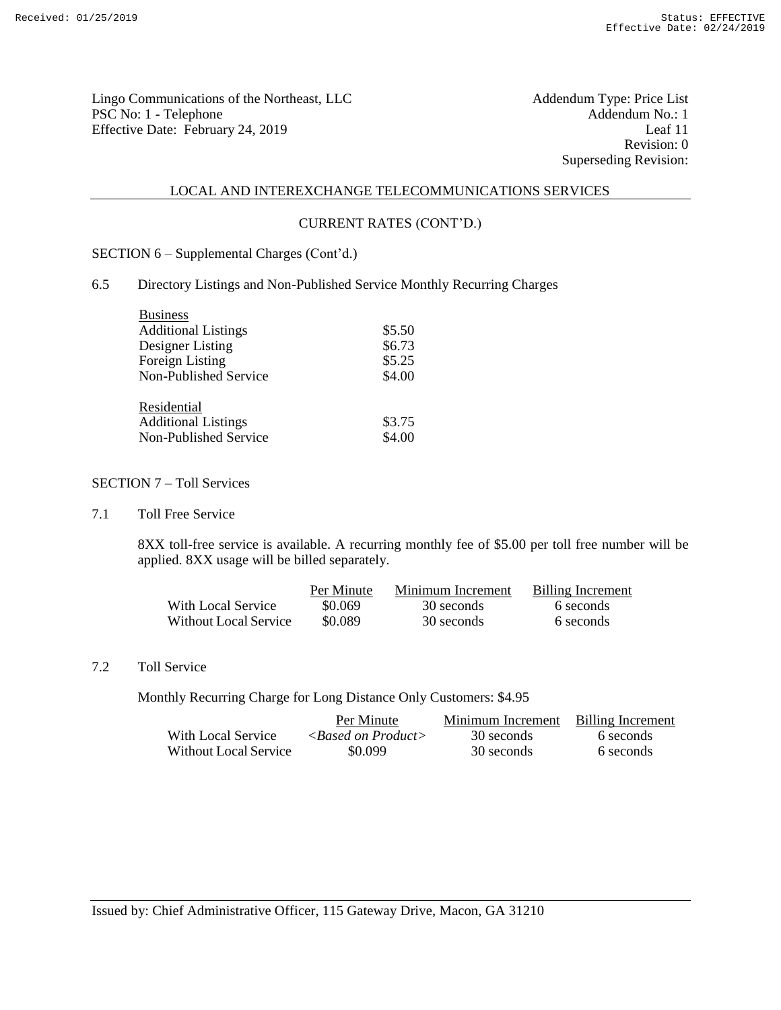Lingo Communications of the Northeast, LLC<br>
PSC No: 1 - Telephone Addendum No.: 1 PSC No: 1 - Telephone Addendum No.: 1<br>
Effective Date: February 24, 2019 [eaf 11] Effective Date: February 24, 2019

Revision: 0 Superseding Revision:

#### LOCAL AND INTEREXCHANGE TELECOMMUNICATIONS SERVICES

## CURRENT RATES (CONT'D.)

SECTION 6 – Supplemental Charges (Cont'd.)

#### 6.5 Directory Listings and Non-Published Service Monthly Recurring Charges

| <b>Business</b>            |        |
|----------------------------|--------|
| <b>Additional Listings</b> | \$5.50 |
| Designer Listing           | \$6.73 |
| Foreign Listing            | \$5.25 |
| Non-Published Service      | \$4.00 |
| Residential                |        |
| <b>Additional Listings</b> | \$3.75 |
| Non-Published Service      | \$4.00 |

#### SECTION 7 – Toll Services

7.1 Toll Free Service

8XX toll-free service is available. A recurring monthly fee of \$5.00 per toll free number will be applied. 8XX usage will be billed separately.

|                       | Per Minute | Minimum Increment | <b>Billing Increment</b> |
|-----------------------|------------|-------------------|--------------------------|
| With Local Service    | \$0.069    | 30 seconds        | 6 seconds                |
| Without Local Service | \$0.089    | 30 seconds        | 6 seconds                |

# 7.2 Toll Service

Monthly Recurring Charge for Long Distance Only Customers: \$4.95

|                       | Per Minute                  | Minimum Increment | Billing Increment |
|-----------------------|-----------------------------|-------------------|-------------------|
| With Local Service    | $\langle$ -Rased on Product | 30 seconds        | 6 seconds         |
| Without Local Service | \$0.099                     | 30 seconds        | 6 seconds         |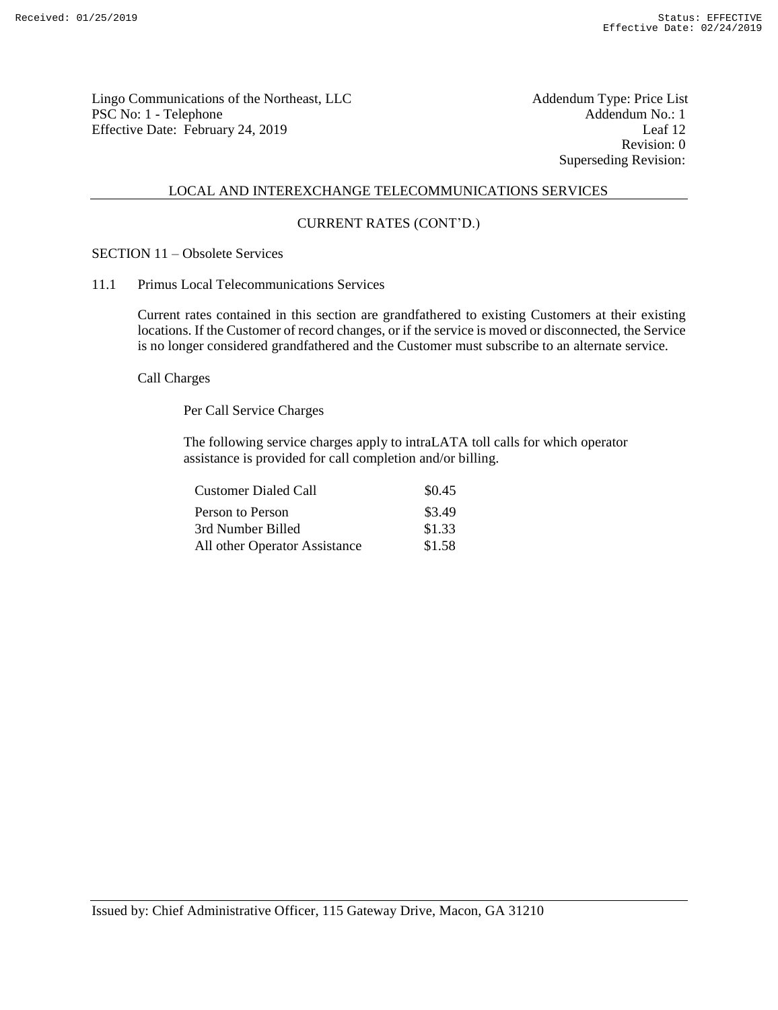Lingo Communications of the Northeast, LLC<br>
PSC No: 1 - Telephone Addendum No.: 1 PSC No: 1 - Telephone Addendum No.: 1<br>
Effective Date: February 24, 2019 [eaf 12] Effective Date: February 24, 2019

Revision: 0 Superseding Revision:

#### LOCAL AND INTEREXCHANGE TELECOMMUNICATIONS SERVICES

## CURRENT RATES (CONT'D.)

# SECTION 11 – Obsolete Services

11.1 Primus Local Telecommunications Services

Current rates contained in this section are grandfathered to existing Customers at their existing locations. If the Customer of record changes, or if the service is moved or disconnected, the Service is no longer considered grandfathered and the Customer must subscribe to an alternate service.

Call Charges

Per Call Service Charges

The following service charges apply to intraLATA toll calls for which operator assistance is provided for call completion and/or billing.

| <b>Customer Dialed Call</b>   | \$0.45 |
|-------------------------------|--------|
| Person to Person              | \$3.49 |
| 3rd Number Billed             | \$1.33 |
| All other Operator Assistance | \$1.58 |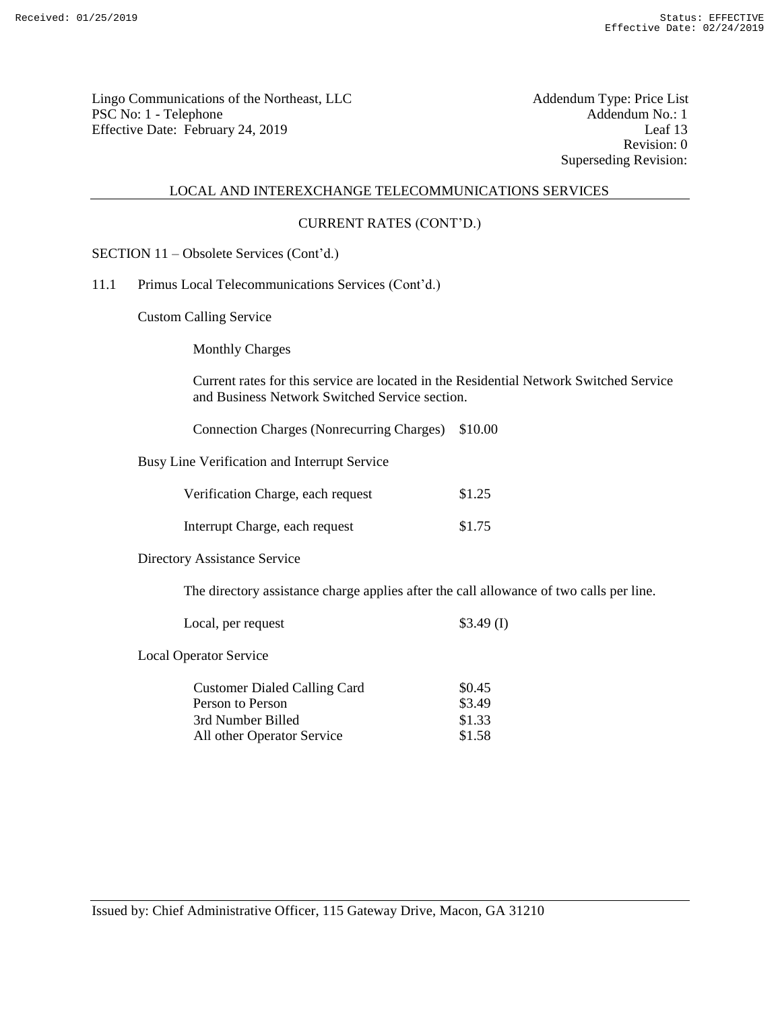Lingo Communications of the Northeast, LLC<br>
PSC No: 1 - Telephone Addendum No.: 1 PSC No: 1 - Telephone Addendum No.: 1<br>
Effective Date: February 24, 2019 [eaf 13] Effective Date: February 24, 2019

Revision: 0 Superseding Revision:

#### LOCAL AND INTEREXCHANGE TELECOMMUNICATIONS SERVICES

## CURRENT RATES (CONT'D.)

- SECTION 11 Obsolete Services (Cont'd.)
- 11.1 Primus Local Telecommunications Services (Cont'd.)

Custom Calling Service

Monthly Charges

Current rates for this service are located in the Residential Network Switched Service and Business Network Switched Service section.

Connection Charges (Nonrecurring Charges) \$10.00

Busy Line Verification and Interrupt Service

| Verification Charge, each request | \$1.25 |
|-----------------------------------|--------|
| Interrupt Charge, each request    | \$1.75 |

Directory Assistance Service

The directory assistance charge applies after the call allowance of two calls per line.

| Local, per request | $$3.49$ (I) |
|--------------------|-------------|
|                    |             |

Local Operator Service

| <b>Customer Dialed Calling Card</b> | \$0.45 |
|-------------------------------------|--------|
| Person to Person                    | \$3.49 |
| 3rd Number Billed                   | \$1.33 |
| All other Operator Service          | \$1.58 |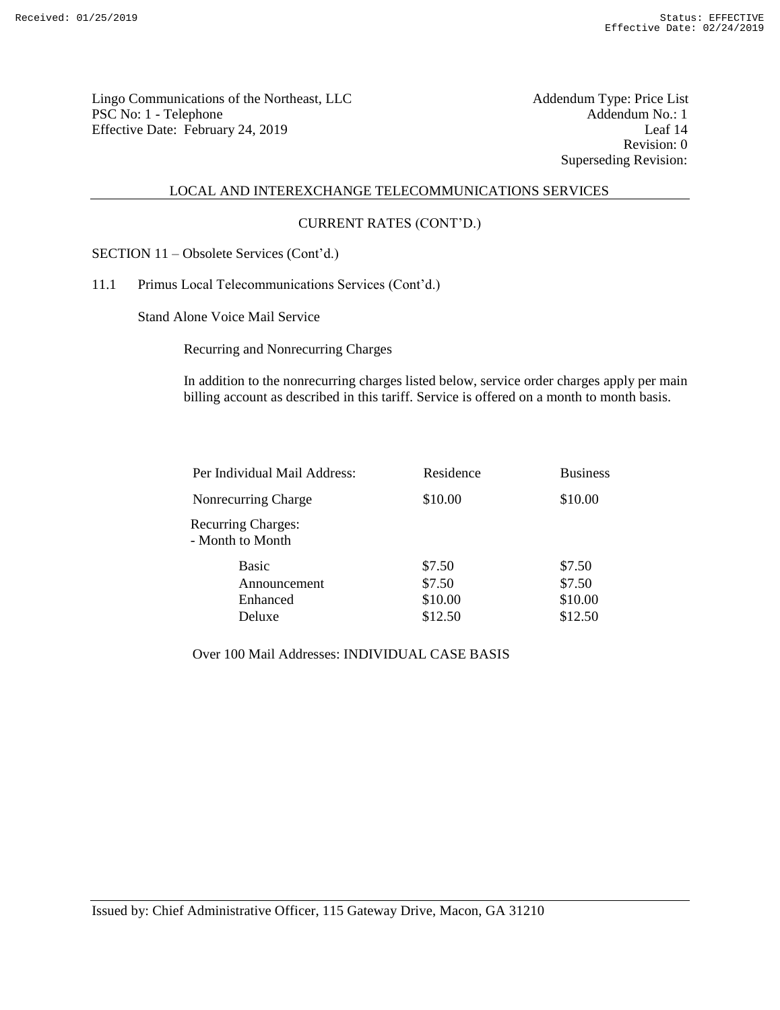Lingo Communications of the Northeast, LLC<br>
PSC No: 1 - Telephone Addendum No.: 1 PSC No: 1 - Telephone Addendum No.: 1<br>
Effective Date: February 24, 2019 [eaf 14 Effective Date: February 24, 2019

Revision: 0 Superseding Revision:

#### LOCAL AND INTEREXCHANGE TELECOMMUNICATIONS SERVICES

#### CURRENT RATES (CONT'D.)

SECTION 11 – Obsolete Services (Cont'd.)

11.1 Primus Local Telecommunications Services (Cont'd.)

Stand Alone Voice Mail Service

Recurring and Nonrecurring Charges

In addition to the nonrecurring charges listed below, service order charges apply per main billing account as described in this tariff. Service is offered on a month to month basis.

| Per Individual Mail Address:                  | Residence | <b>Business</b> |  |
|-----------------------------------------------|-----------|-----------------|--|
| Nonrecurring Charge                           | \$10.00   | \$10.00         |  |
| <b>Recurring Charges:</b><br>- Month to Month |           |                 |  |
| Basic                                         | \$7.50    | \$7.50          |  |
| Announcement                                  | \$7.50    | \$7.50          |  |
| Enhanced                                      | \$10.00   | \$10.00         |  |
| Deluxe                                        | \$12.50   | \$12.50         |  |

Over 100 Mail Addresses: INDIVIDUAL CASE BASIS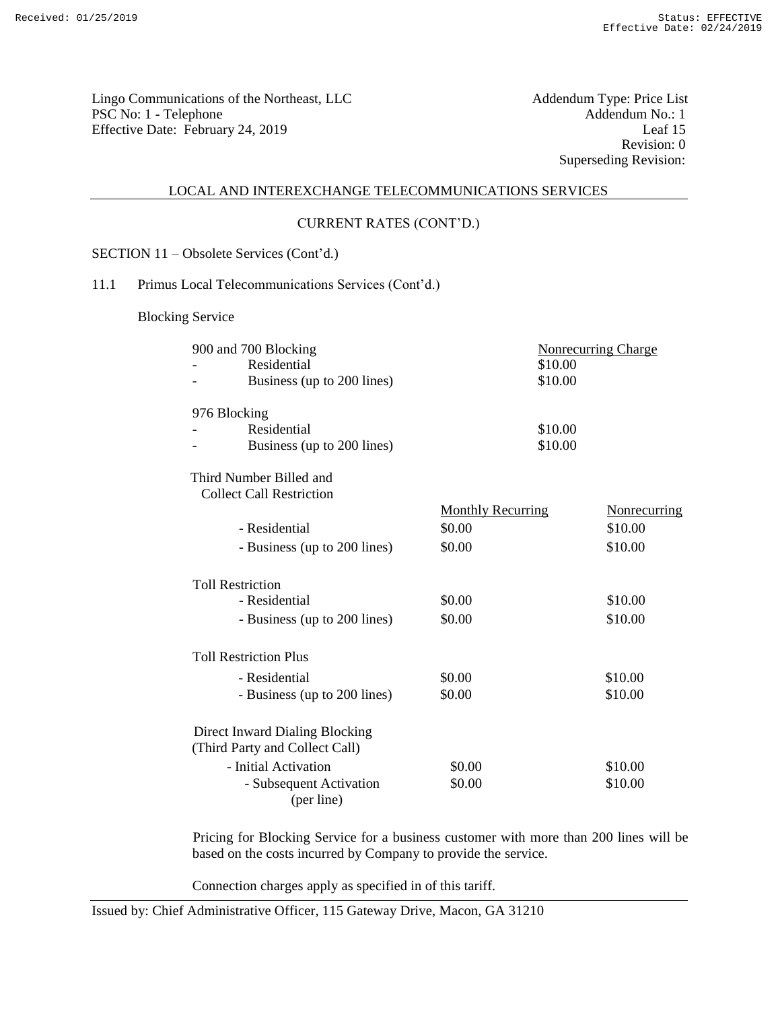Lingo Communications of the Northeast, LLC<br>
PSC No: 1 - Telephone Addendum No.: 1 PSC No: 1 - Telephone Addendum No.: 1<br>
Effective Date: February 24, 2019 [eaf 15] Effective Date: February 24, 2019

Revision: 0 Superseding Revision:

#### LOCAL AND INTEREXCHANGE TELECOMMUNICATIONS SERVICES

#### CURRENT RATES (CONT'D.)

SECTION 11 – Obsolete Services (Cont'd.)

## 11.1 Primus Local Telecommunications Services (Cont'd.)

Blocking Service

| 900 and 700 Blocking            |                          | <b>Nonrecurring Charge</b> |
|---------------------------------|--------------------------|----------------------------|
| Residential                     | \$10.00                  |                            |
| Business (up to 200 lines)      | \$10.00                  |                            |
| 976 Blocking                    |                          |                            |
| Residential                     | \$10.00                  |                            |
| Business (up to 200 lines)      | \$10.00                  |                            |
| Third Number Billed and         |                          |                            |
| <b>Collect Call Restriction</b> |                          |                            |
|                                 | <b>Monthly Recurring</b> | Nonrecurring               |
| - Residential                   | \$0.00                   | \$10.00                    |
| - Business (up to 200 lines)    | \$0.00                   | \$10.00                    |
| <b>Toll Restriction</b>         |                          |                            |
| - Residential                   | \$0.00                   | \$10.00                    |
| - Business (up to 200 lines)    | \$0.00                   | \$10.00                    |
| <b>Toll Restriction Plus</b>    |                          |                            |
| - Residential                   | \$0.00                   | \$10.00                    |
| - Business (up to 200 lines)    | \$0.00                   | \$10.00                    |
| Direct Inward Dialing Blocking  |                          |                            |
| (Third Party and Collect Call)  |                          |                            |
| - Initial Activation            | \$0.00                   | \$10.00                    |
| - Subsequent Activation         | \$0.00                   | \$10.00                    |
| (per line)                      |                          |                            |

Pricing for Blocking Service for a business customer with more than 200 lines will be based on the costs incurred by Company to provide the service.

Connection charges apply as specified in of this tariff.

Issued by: Chief Administrative Officer, 115 Gateway Drive, Macon, GA 31210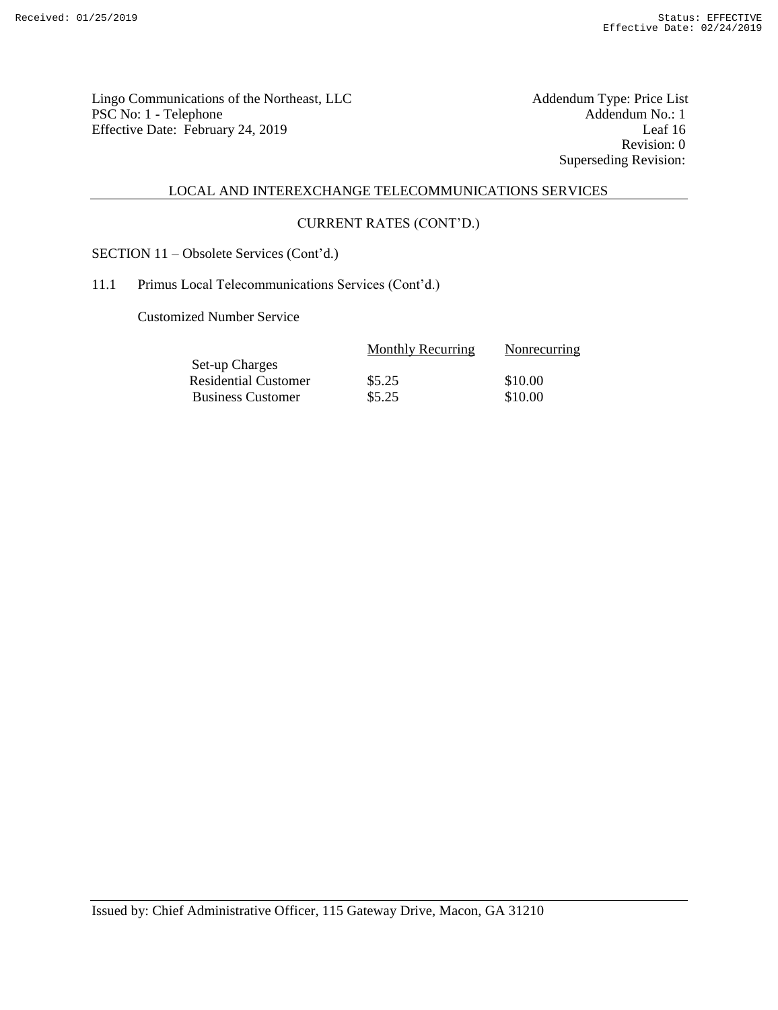Lingo Communications of the Northeast, LLC<br>
PSC No: 1 - Telephone Addendum No.: 1 PSC No: 1 - Telephone Addendum No.: 1<br>Effective Date: February 24, 2019 Leaf 16 Effective Date: February 24, 2019

Revision: 0 Superseding Revision:

# LOCAL AND INTEREXCHANGE TELECOMMUNICATIONS SERVICES

## CURRENT RATES (CONT'D.)

SECTION 11 – Obsolete Services (Cont'd.)

## 11.1 Primus Local Telecommunications Services (Cont'd.)

Customized Number Service

| <b>Monthly Recurring</b> | Nonrecurring |
|--------------------------|--------------|
|                          |              |
| \$5.25                   | \$10.00      |
| \$5.25                   | \$10.00      |
|                          |              |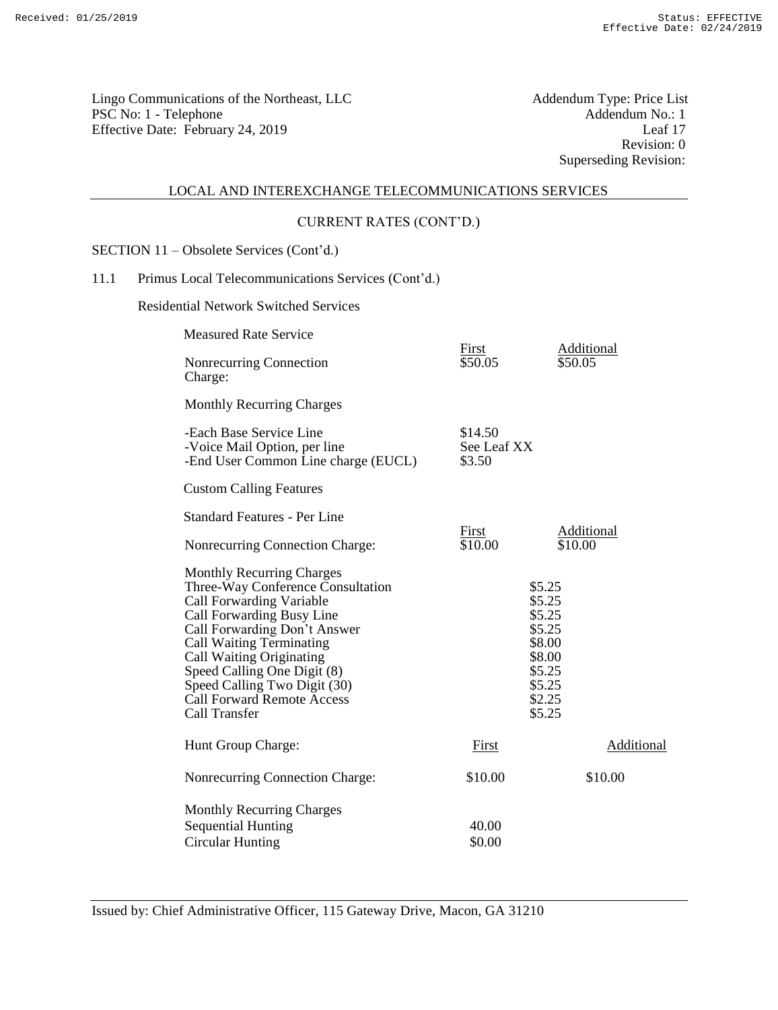Lingo Communications of the Northeast, LLC<br>
PSC No: 1 - Telephone Addendum No.: 1 PSC No: 1 - Telephone Addendum No.: 1<br>Effective Date: February 24, 2019 Leaf 17 Effective Date: February 24, 2019

Revision: 0 Superseding Revision:

# LOCAL AND INTEREXCHANGE TELECOMMUNICATIONS SERVICES

## CURRENT RATES (CONT'D.)

SECTION 11 – Obsolete Services (Cont'd.)

# 11.1 Primus Local Telecommunications Services (Cont'd.)

Residential Network Switched Services

| <b>Measured Rate Service</b>                                                                                                                                                                                                                                                                                                                       |                                  |                                                                                                  |
|----------------------------------------------------------------------------------------------------------------------------------------------------------------------------------------------------------------------------------------------------------------------------------------------------------------------------------------------------|----------------------------------|--------------------------------------------------------------------------------------------------|
| Nonrecurring Connection<br>Charge:                                                                                                                                                                                                                                                                                                                 | First<br>\$50.05                 | Additional<br>\$50.05                                                                            |
| <b>Monthly Recurring Charges</b>                                                                                                                                                                                                                                                                                                                   |                                  |                                                                                                  |
| -Each Base Service Line<br>-Voice Mail Option, per line<br>-End User Common Line charge (EUCL)                                                                                                                                                                                                                                                     | \$14.50<br>See Leaf XX<br>\$3.50 |                                                                                                  |
| <b>Custom Calling Features</b>                                                                                                                                                                                                                                                                                                                     |                                  |                                                                                                  |
| <b>Standard Features - Per Line</b>                                                                                                                                                                                                                                                                                                                |                                  |                                                                                                  |
| Nonrecurring Connection Charge:                                                                                                                                                                                                                                                                                                                    | <u>First</u><br>\$10.00          | <b>Additional</b><br>\$10.00                                                                     |
| <b>Monthly Recurring Charges</b><br>Three-Way Conference Consultation<br>Call Forwarding Variable<br>Call Forwarding Busy Line<br>Call Forwarding Don't Answer<br>Call Waiting Terminating<br>Call Waiting Originating<br>Speed Calling One Digit (8)<br>Speed Calling Two Digit (30)<br><b>Call Forward Remote Access</b><br><b>Call Transfer</b> |                                  | \$5.25<br>\$5.25<br>\$5.25<br>\$5.25<br>\$8.00<br>\$8.00<br>\$5.25<br>\$5.25<br>\$2.25<br>\$5.25 |
| Hunt Group Charge:                                                                                                                                                                                                                                                                                                                                 | First                            | Additional                                                                                       |
| Nonrecurring Connection Charge:                                                                                                                                                                                                                                                                                                                    | \$10.00                          | \$10.00                                                                                          |
| <b>Monthly Recurring Charges</b>                                                                                                                                                                                                                                                                                                                   |                                  |                                                                                                  |
| <b>Sequential Hunting</b>                                                                                                                                                                                                                                                                                                                          | 40.00                            |                                                                                                  |
| <b>Circular Hunting</b>                                                                                                                                                                                                                                                                                                                            | \$0.00                           |                                                                                                  |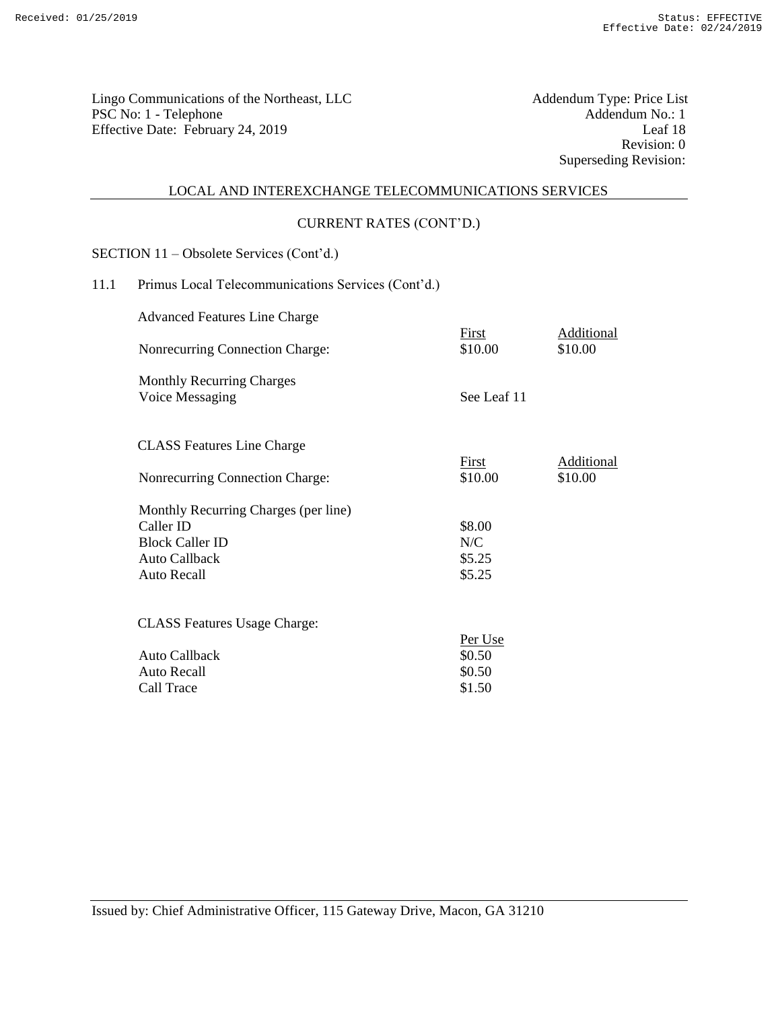Lingo Communications of the Northeast, LLC<br>
PSC No: 1 - Telephone Addendum No.: 1 PSC No: 1 - Telephone Addendum No.: 1<br>Effective Date: February 24, 2019 Leaf 18 Effective Date: February 24, 2019

Revision: 0 Superseding Revision:

# LOCAL AND INTEREXCHANGE TELECOMMUNICATIONS SERVICES

#### CURRENT RATES (CONT'D.)

SECTION 11 – Obsolete Services (Cont'd.)

# 11.1 Primus Local Telecommunications Services (Cont'd.)

Advanced Features Line Charge

| Nonrecurring Connection Charge:                     | First<br>\$10.00 | Additional<br>\$10.00 |
|-----------------------------------------------------|------------------|-----------------------|
| <b>Monthly Recurring Charges</b><br>Voice Messaging | See Leaf 11      |                       |
| <b>CLASS</b> Features Line Charge                   |                  |                       |
| Nonrecurring Connection Charge:                     | First<br>\$10.00 | Additional<br>\$10.00 |
| Monthly Recurring Charges (per line)                |                  |                       |
| Caller ID                                           | \$8.00           |                       |
| <b>Block Caller ID</b>                              | N/C              |                       |
| Auto Callback                                       | \$5.25           |                       |
| <b>Auto Recall</b>                                  | \$5.25           |                       |
| <b>CLASS Features Usage Charge:</b>                 |                  |                       |
|                                                     | Per Use          |                       |
| Auto Callback                                       | \$0.50           |                       |
| <b>Auto Recall</b>                                  | \$0.50           |                       |
| Call Trace                                          | \$1.50           |                       |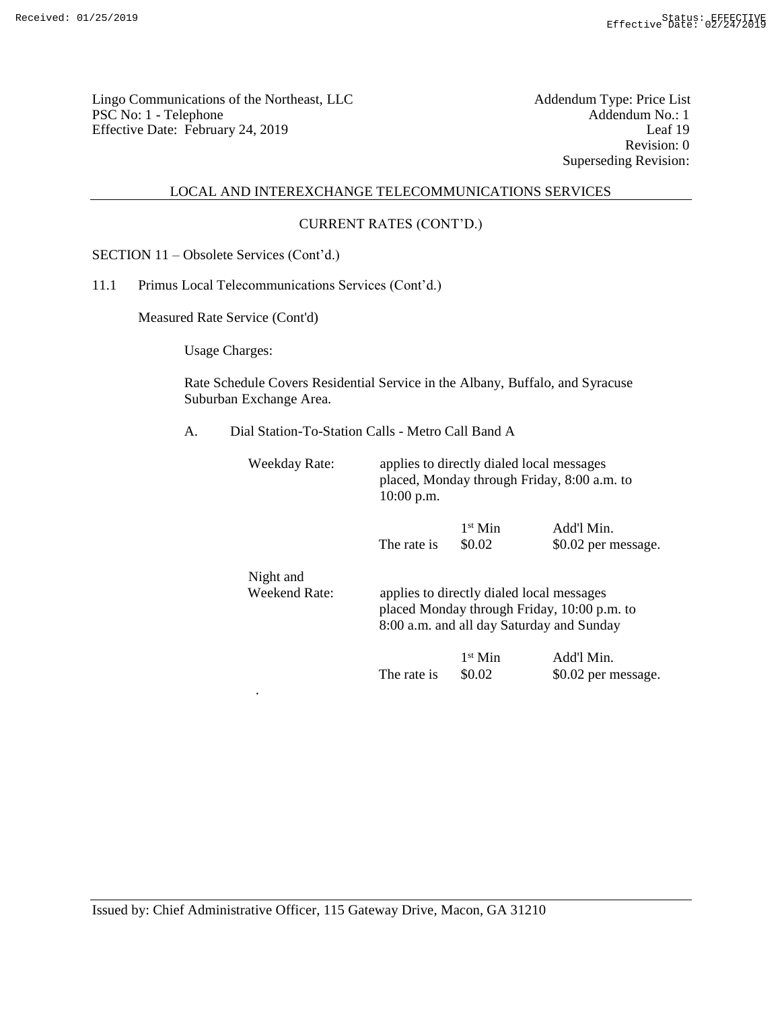Lingo Communications of the Northeast, LLC<br>
PSC No: 1 - Telephone Addendum No.: 1 PSC No: 1 - Telephone Addendum No.: 1<br>Effective Date: February 24, 2019 Leaf 19 Effective Date: February 24, 2019

Revision: 0 Superseding Revision:

### LOCAL AND INTEREXCHANGE TELECOMMUNICATIONS SERVICES

# CURRENT RATES (CONT'D.)

SECTION 11 – Obsolete Services (Cont'd.)

## 11.1 Primus Local Telecommunications Services (Cont'd.)

.

Measured Rate Service (Cont'd)

Usage Charges:

Rate Schedule Covers Residential Service in the Albany, Buffalo, and Syracuse Suburban Exchange Area.

A. Dial Station-To-Station Calls - Metro Call Band A

| Weekday Rate:              | $10:00$ p.m.                                                                                                                          | applies to directly dialed local messages<br>placed, Monday through Friday, 8:00 a.m. to |                                   |  |
|----------------------------|---------------------------------------------------------------------------------------------------------------------------------------|------------------------------------------------------------------------------------------|-----------------------------------|--|
|                            | The rate is                                                                                                                           | $1st$ Min<br>\$0.02                                                                      | Add'l Min.<br>\$0.02 per message. |  |
| Night and<br>Weekend Rate: | applies to directly dialed local messages<br>placed Monday through Friday, 10:00 p.m. to<br>8:00 a.m. and all day Saturday and Sunday |                                                                                          |                                   |  |
|                            |                                                                                                                                       | $1st$ Min                                                                                | Add'l Min.                        |  |

The rate is  $$0.02$  \$0.02 per message.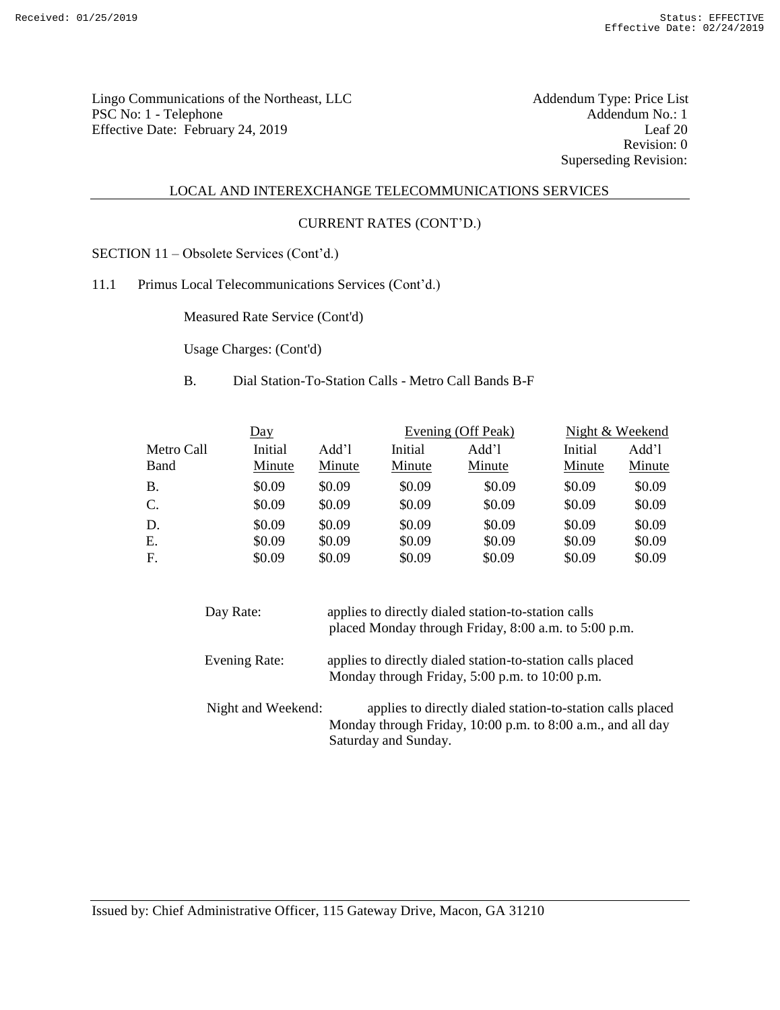Lingo Communications of the Northeast, LLC<br>
PSC No: 1 - Telephone Addendum No.: 1 PSC No: 1 - Telephone Addendum No.: 1<br>Effective Date: February 24, 2019 Leaf 20 Effective Date: February 24, 2019

Revision: 0 Superseding Revision:

## LOCAL AND INTEREXCHANGE TELECOMMUNICATIONS SERVICES

#### CURRENT RATES (CONT'D.)

SECTION 11 – Obsolete Services (Cont'd.)

11.1 Primus Local Telecommunications Services (Cont'd.)

Measured Rate Service (Cont'd)

Usage Charges: (Cont'd)

B. Dial Station-To-Station Calls - Metro Call Bands B-F

| Day        |         |        | Evening (Off Peak) |        | Night & Weekend |        |
|------------|---------|--------|--------------------|--------|-----------------|--------|
| Metro Call | Initial | Add'l  | Initial            | Add'l  | Initial         | Add'l  |
| Band       | Minute  | Minute | Minute             | Minute | Minute          | Minute |
| B.         | \$0.09  | \$0.09 | \$0.09             | \$0.09 | \$0.09          | \$0.09 |
| C.         | \$0.09  | \$0.09 | \$0.09             | \$0.09 | \$0.09          | \$0.09 |
| D.         | \$0.09  | \$0.09 | \$0.09             | \$0.09 | \$0.09          | \$0.09 |
| Ε.         | \$0.09  | \$0.09 | \$0.09             | \$0.09 | \$0.09          | \$0.09 |
| F.         | \$0.09  | \$0.09 | \$0.09             | \$0.09 | \$0.09          | \$0.09 |

| Day Rate:          | applies to directly dialed station-to-station calls<br>placed Monday through Friday, 8:00 a.m. to 5:00 p.m.                                       |
|--------------------|---------------------------------------------------------------------------------------------------------------------------------------------------|
| Evening Rate:      | applies to directly dialed station-to-station calls placed<br>Monday through Friday, 5:00 p.m. to 10:00 p.m.                                      |
| Night and Weekend: | applies to directly dialed station-to-station calls placed<br>Monday through Friday, 10:00 p.m. to 8:00 a.m., and all day<br>Saturday and Sunday. |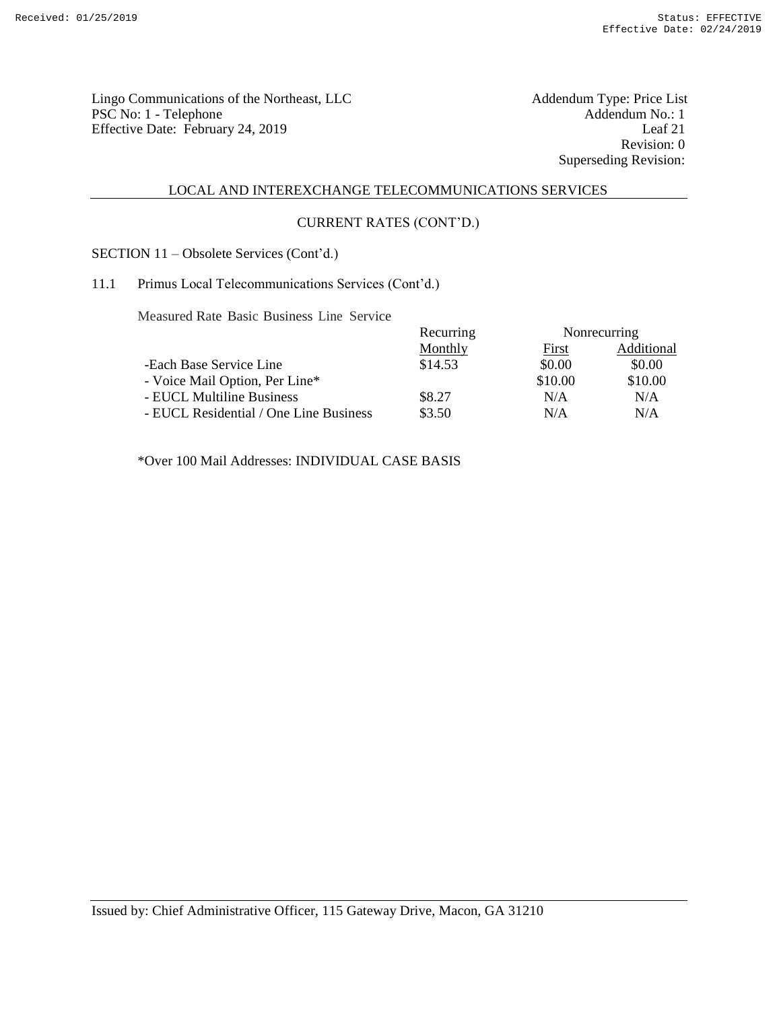Lingo Communications of the Northeast, LLC<br>
PSC No: 1 - Telephone Addendum No.: 1 PSC No: 1 - Telephone Addendum No.: 1<br>
Effective Date: February 24, 2019 Leaf 21 Effective Date: February 24, 2019

Revision: 0 Superseding Revision:

# LOCAL AND INTEREXCHANGE TELECOMMUNICATIONS SERVICES

## CURRENT RATES (CONT'D.)

SECTION 11 – Obsolete Services (Cont'd.)

## 11.1 Primus Local Telecommunications Services (Cont'd.)

Measured Rate Basic Business Line Service

|                                        | Recurring | Nonrecurring |            |
|----------------------------------------|-----------|--------------|------------|
|                                        | Monthly   | First        | Additional |
| -Each Base Service Line                | \$14.53   | \$0.00       | \$0.00     |
| - Voice Mail Option, Per Line*         |           | \$10.00      | \$10.00    |
| - EUCL Multiline Business              | \$8.27    | N/A          | N/A        |
| - EUCL Residential / One Line Business | \$3.50    | N/A          | N/A        |

\*Over 100 Mail Addresses: INDIVIDUAL CASE BASIS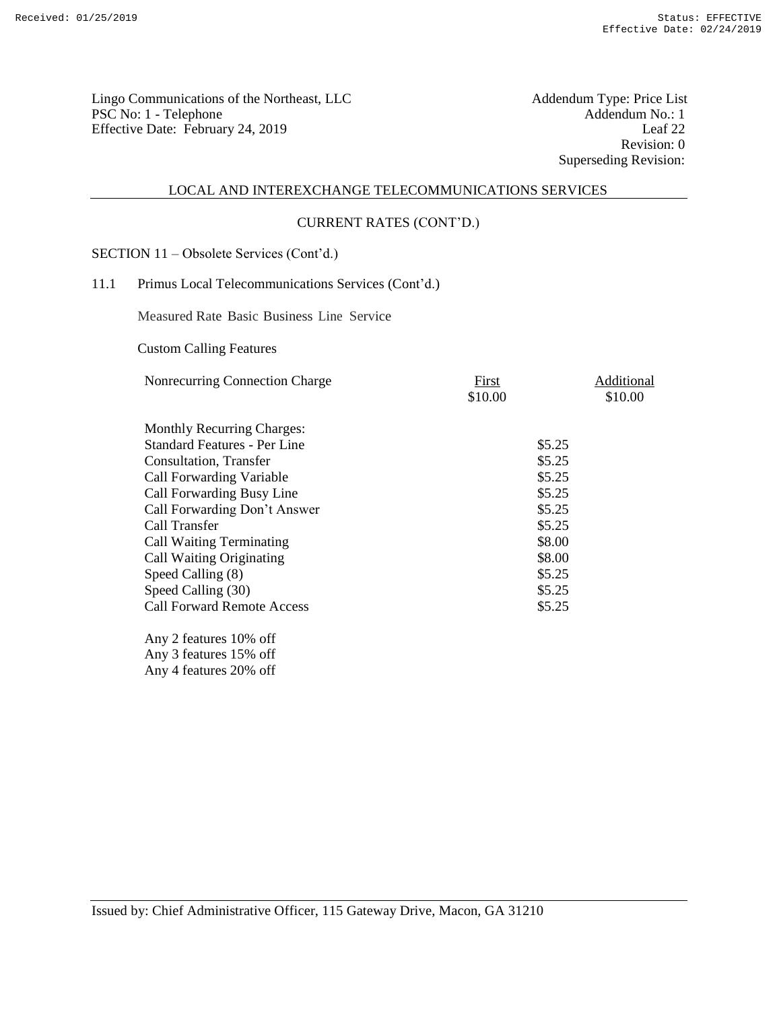Lingo Communications of the Northeast, LLC<br>
PSC No: 1 - Telephone Addendum No.: 1 PSC No: 1 - Telephone Addendum No.: 1<br>Effective Date: February 24. 2019 Leaf 22 Effective Date: February 24, 2019

Revision: 0 Superseding Revision:

#### LOCAL AND INTEREXCHANGE TELECOMMUNICATIONS SERVICES

## CURRENT RATES (CONT'D.)

SECTION 11 – Obsolete Services (Cont'd.)

## 11.1 Primus Local Telecommunications Services (Cont'd.)

Measured Rate Basic Business Line Service

Custom Calling Features

| Nonrecurring Connection Charge      | First   | Additional |
|-------------------------------------|---------|------------|
|                                     | \$10.00 | \$10.00    |
|                                     |         |            |
| <b>Monthly Recurring Charges:</b>   |         |            |
| <b>Standard Features - Per Line</b> | \$5.25  |            |
| Consultation, Transfer              | \$5.25  |            |
| <b>Call Forwarding Variable</b>     | \$5.25  |            |
| Call Forwarding Busy Line           | \$5.25  |            |
| Call Forwarding Don't Answer        | \$5.25  |            |
| Call Transfer                       | \$5.25  |            |
| <b>Call Waiting Terminating</b>     | \$8.00  |            |
| Call Waiting Originating            | \$8.00  |            |
| Speed Calling (8)                   | \$5.25  |            |
| Speed Calling (30)                  | \$5.25  |            |
| <b>Call Forward Remote Access</b>   | \$5.25  |            |
|                                     |         |            |
| Any 2 features 10% off              |         |            |
| Any 3 features 15% off              |         |            |

Any 4 features 20% off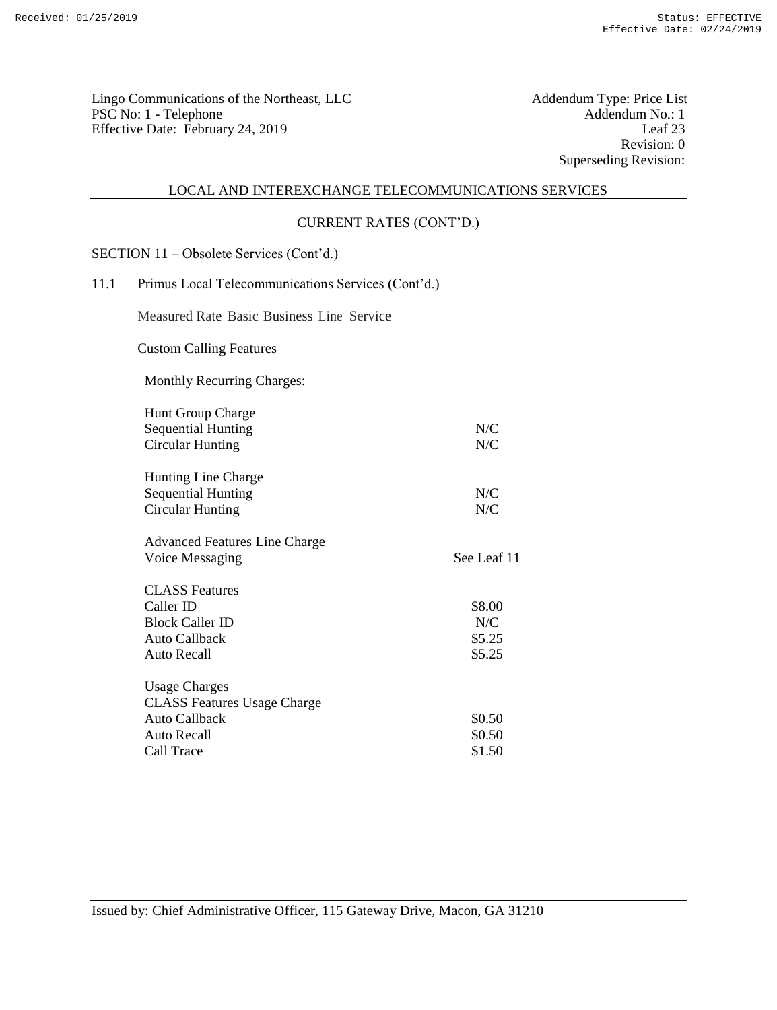Lingo Communications of the Northeast, LLC<br>
PSC No: 1 - Telephone Addendum No.: 1 PSC No: 1 - Telephone Addendum No.: 1<br>Effective Date: February 24, 2019 Leaf 23 Effective Date: February 24, 2019

Revision: 0 Superseding Revision:

#### LOCAL AND INTEREXCHANGE TELECOMMUNICATIONS SERVICES

## CURRENT RATES (CONT'D.)

SECTION 11 – Obsolete Services (Cont'd.)

## 11.1 Primus Local Telecommunications Services (Cont'd.)

Measured Rate Basic Business Line Service

Custom Calling Features

Monthly Recurring Charges:

| <b>Hunt Group Charge</b>             |             |
|--------------------------------------|-------------|
| <b>Sequential Hunting</b>            | N/C         |
| Circular Hunting                     | N/C         |
| <b>Hunting Line Charge</b>           |             |
| <b>Sequential Hunting</b>            | N/C         |
| Circular Hunting                     | N/C         |
| <b>Advanced Features Line Charge</b> |             |
| Voice Messaging                      | See Leaf 11 |
| <b>CLASS</b> Features                |             |
| Caller ID                            | \$8.00      |
| <b>Block Caller ID</b>               | N/C         |
| Auto Callback                        | \$5.25      |
| Auto Recall                          | \$5.25      |
| <b>Usage Charges</b>                 |             |
| <b>CLASS Features Usage Charge</b>   |             |
| <b>Auto Callback</b>                 | \$0.50      |
| Auto Recall                          | \$0.50      |
| Call Trace                           | \$1.50      |
|                                      |             |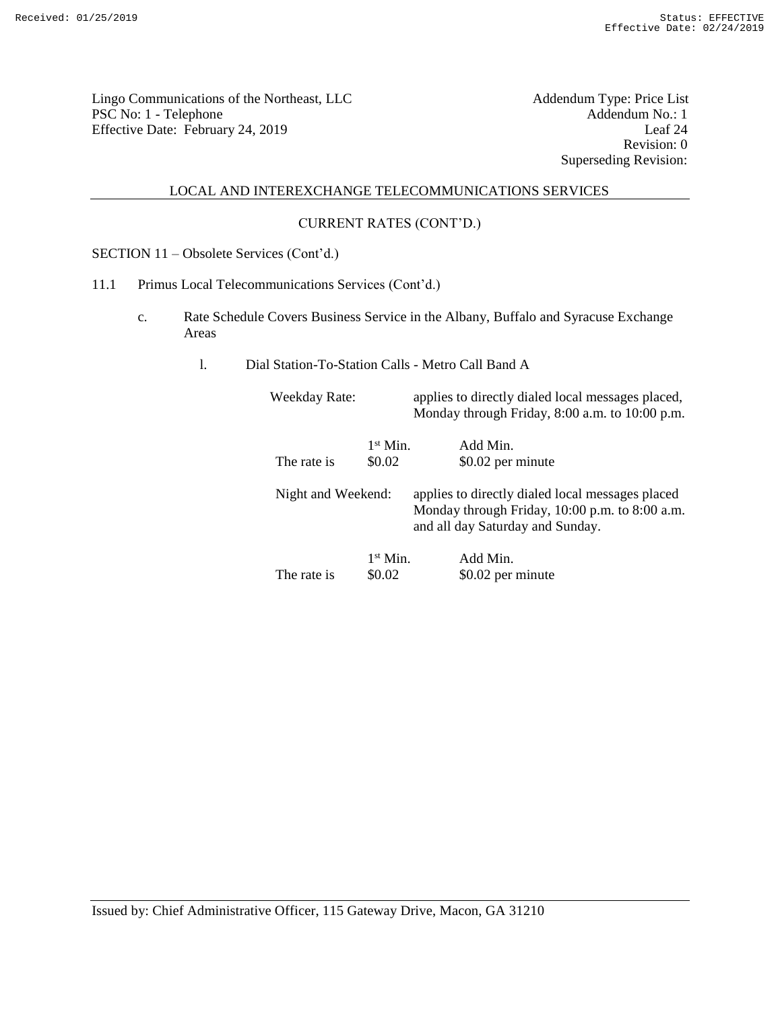Lingo Communications of the Northeast, LLC<br>
PSC No: 1 - Telephone Addendum No.: 1 PSC No: 1 - Telephone Addendum No.: 1<br>Effective Date: February 24, 2019 Leaf 24 Effective Date: February 24, 2019

Revision: 0 Superseding Revision:

## LOCAL AND INTEREXCHANGE TELECOMMUNICATIONS SERVICES

## CURRENT RATES (CONT'D.)

SECTION 11 – Obsolete Services (Cont'd.)

- 11.1 Primus Local Telecommunications Services (Cont'd.)
	- c. Rate Schedule Covers Business Service in the Albany, Buffalo and Syracuse Exchange Areas
		- l. Dial Station-To-Station Calls Metro Call Band A

| <b>Weekday Rate:</b> |            | applies to directly dialed local messages placed,<br>Monday through Friday, 8:00 a.m. to 10:00 p.m.                                    |
|----------------------|------------|----------------------------------------------------------------------------------------------------------------------------------------|
|                      | $1st$ Min. | Add Min.                                                                                                                               |
| The rate is          | \$0.02     | \$0.02 per minute                                                                                                                      |
| Night and Weekend:   |            | applies to directly dialed local messages placed<br>Monday through Friday, 10:00 p.m. to 8:00 a.m.<br>and all day Saturday and Sunday. |
|                      | $1st$ Min. | Add Min.                                                                                                                               |
| The rate is          | \$0.02     | \$0.02 per minute                                                                                                                      |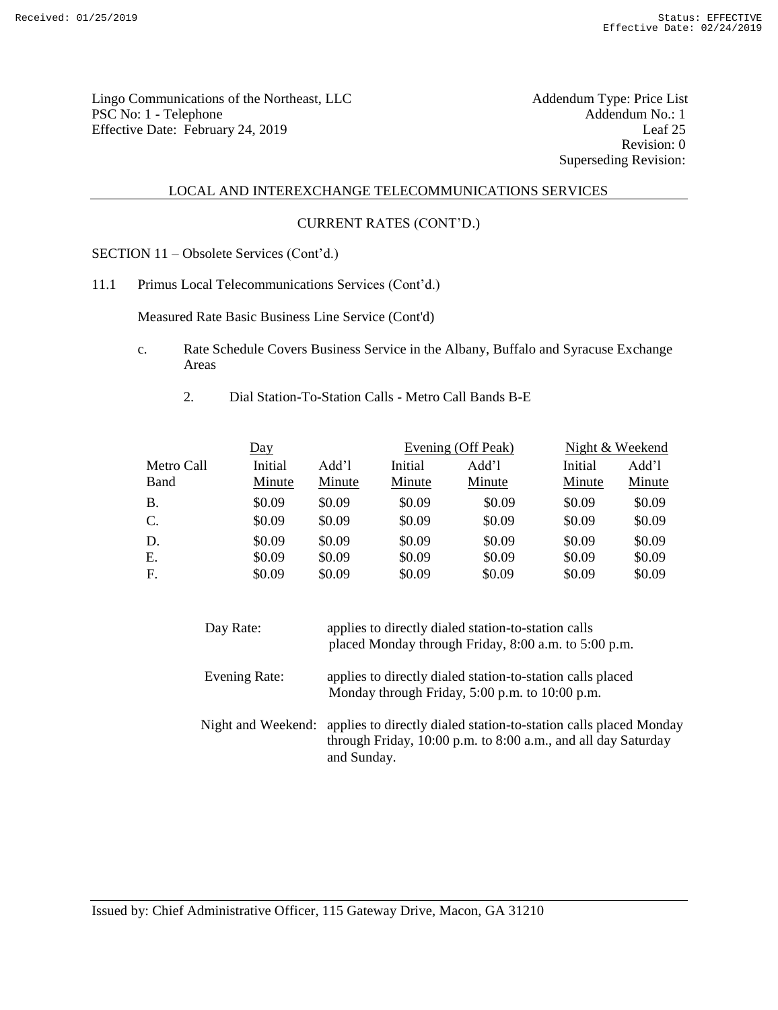Lingo Communications of the Northeast, LLC<br>
PSC No: 1 - Telephone Addendum No.: 1 PSC No: 1 - Telephone Addendum No.: 1<br>Effective Date: February 24, 2019 Leaf 25 Effective Date: February 24, 2019

Revision: 0 Superseding Revision:

#### LOCAL AND INTEREXCHANGE TELECOMMUNICATIONS SERVICES

## CURRENT RATES (CONT'D.)

SECTION 11 – Obsolete Services (Cont'd.)

11.1 Primus Local Telecommunications Services (Cont'd.)

Measured Rate Basic Business Line Service (Cont'd)

- c. Rate Schedule Covers Business Service in the Albany, Buffalo and Syracuse Exchange Areas
	- 2. Dial Station-To-Station Calls Metro Call Bands B-E

|                           | <u>Day</u>        |                 |                   | Evening (Off Peak) |                   | Night & Weekend |
|---------------------------|-------------------|-----------------|-------------------|--------------------|-------------------|-----------------|
| Metro Call<br><b>Band</b> | Initial<br>Minute | Add'l<br>Minute | Initial<br>Minute | Add'l<br>Minute    | Initial<br>Minute | Add'l<br>Minute |
| <b>B.</b>                 | \$0.09            | \$0.09          | \$0.09            | \$0.09             | \$0.09            | \$0.09          |
| $\mathcal{C}$ .           | \$0.09            | \$0.09          | \$0.09            | \$0.09             | \$0.09            | \$0.09          |
| D.                        | \$0.09            | \$0.09          | \$0.09            | \$0.09             | \$0.09            | \$0.09          |
| Ε.                        | \$0.09            | \$0.09          | \$0.09            | \$0.09             | \$0.09            | \$0.09          |
| F.                        | \$0.09            | \$0.09          | \$0.09            | \$0.09             | \$0.09            | \$0.09          |

| Day Rate:     | applies to directly dialed station-to-station calls<br>placed Monday through Friday, 8:00 a.m. to 5:00 p.m.                                                          |
|---------------|----------------------------------------------------------------------------------------------------------------------------------------------------------------------|
| Evening Rate: | applies to directly dialed station-to-station calls placed<br>Monday through Friday, 5:00 p.m. to 10:00 p.m.                                                         |
|               | Night and Weekend: applies to directly dialed station-to-station calls placed Monday<br>through Friday, 10:00 p.m. to 8:00 a.m., and all day Saturday<br>and Sunday. |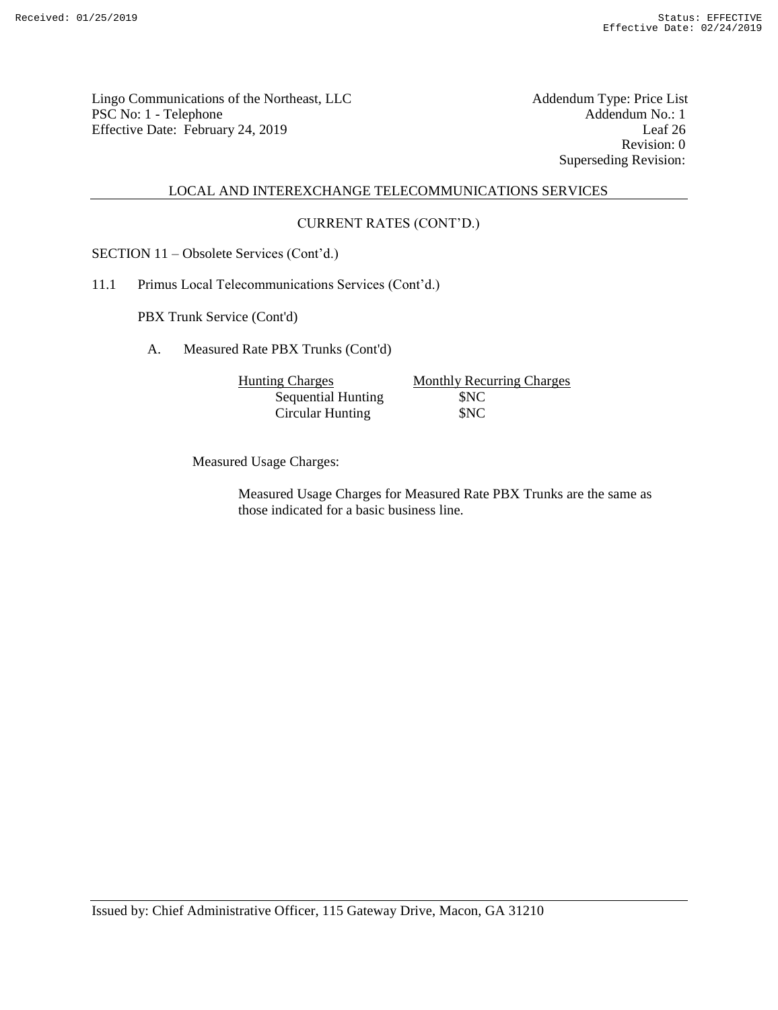Lingo Communications of the Northeast, LLC<br>
PSC No: 1 - Telephone Addendum No.: 1 PSC No: 1 - Telephone Addendum No.: 1<br>
Effective Date: February 24, 2019 [eaf 26] [eaf 26] Effective Date: February 24, 2019

Revision: 0 Superseding Revision:

## LOCAL AND INTEREXCHANGE TELECOMMUNICATIONS SERVICES

## CURRENT RATES (CONT'D.)

SECTION 11 – Obsolete Services (Cont'd.)

11.1 Primus Local Telecommunications Services (Cont'd.)

PBX Trunk Service (Cont'd)

A. Measured Rate PBX Trunks (Cont'd)

Sequential Hunting \$NC Circular Hunting \$NC

Hunting Charges Monthly Recurring Charges

Measured Usage Charges:

Measured Usage Charges for Measured Rate PBX Trunks are the same as those indicated for a basic business line.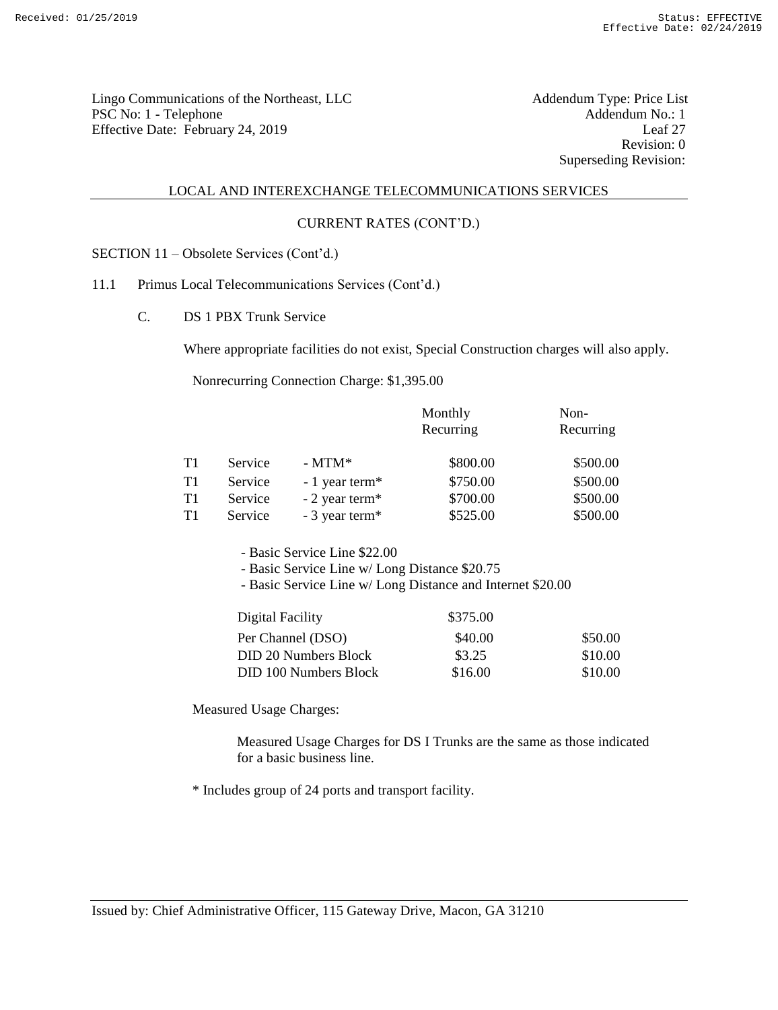Lingo Communications of the Northeast, LLC<br>
PSC No: 1 - Telephone Addendum No.: 1 PSC No: 1 - Telephone Addendum No.: 1<br>
Effective Date: February 24, 2019 [eaf 27] Effective Date: February 24, 2019

Revision: 0 Superseding Revision:

#### LOCAL AND INTEREXCHANGE TELECOMMUNICATIONS SERVICES

## CURRENT RATES (CONT'D.)

SECTION 11 – Obsolete Services (Cont'd.)

## 11.1 Primus Local Telecommunications Services (Cont'd.)

C. DS 1 PBX Trunk Service

Where appropriate facilities do not exist, Special Construction charges will also apply.

Nonrecurring Connection Charge: \$1,395.00

|    |         |                             | Monthly   | Non-      |
|----|---------|-----------------------------|-----------|-----------|
|    |         |                             | Recurring | Recurring |
|    |         |                             |           |           |
| T1 | Service | $-MTM^*$                    | \$800.00  | \$500.00  |
| T1 | Service | $-1$ year term <sup>*</sup> | \$750.00  | \$500.00  |
| T1 | Service | $-2$ year term <sup>*</sup> | \$700.00  | \$500.00  |
| T1 | Service | - 3 year term*              | \$525.00  | \$500.00  |

- Basic Service Line \$22.00

- Basic Service Line w/ Long Distance \$20.75

- Basic Service Line w/ Long Distance and Internet \$20.00

| Digital Facility      | \$375.00 |         |
|-----------------------|----------|---------|
| Per Channel (DSO)     | \$40.00  | \$50.00 |
| DID 20 Numbers Block  | \$3.25   | \$10.00 |
| DID 100 Numbers Block | \$16.00  | \$10.00 |

Measured Usage Charges:

Measured Usage Charges for DS I Trunks are the same as those indicated for a basic business line.

\* Includes group of 24 ports and transport facility.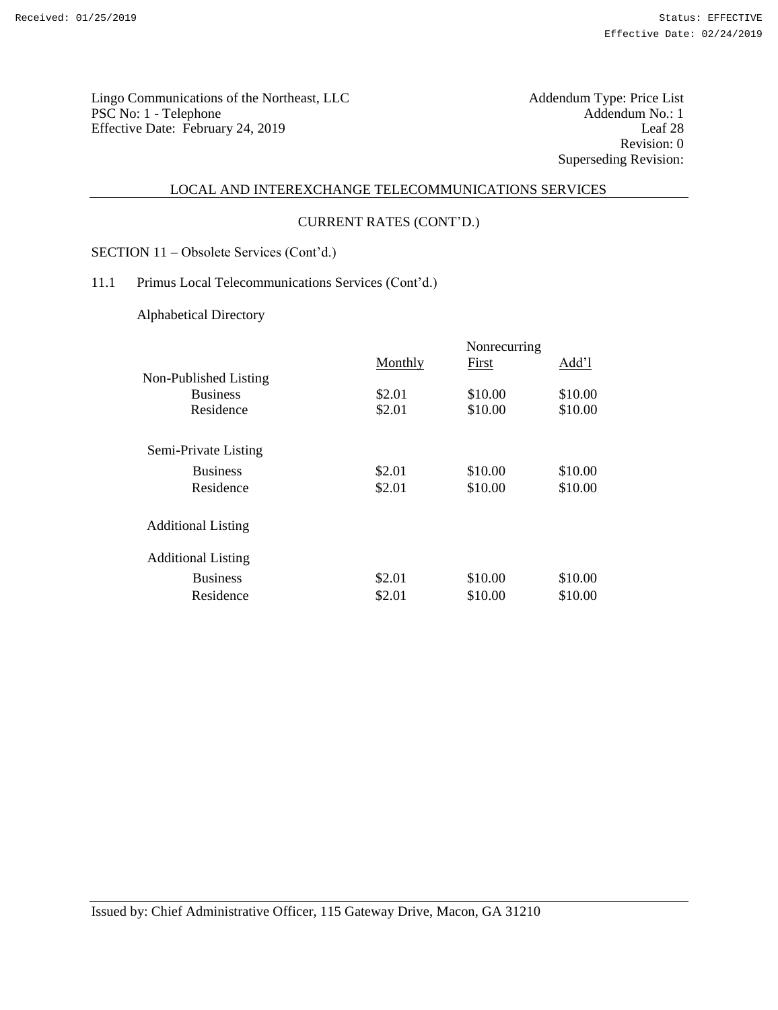Addendum Type: Price List<br>Addendum No.: 1<br>Leaf 28 Revision: 0 Superseding Revision:

#### LOCAL AND INTEREXCHANGE TELECOMMUNICATIONS SERVICES

#### CURRENT RATES (CONT'D.)

SECTION 11 – Obsolete Services (Cont'd.)

# 11.1 Primus Local Telecommunications Services (Cont'd.)

Alphabetical Directory

|                           | Nonrecurring |         |         |
|---------------------------|--------------|---------|---------|
|                           | Monthly      | First   | Add'l   |
| Non-Published Listing     |              |         |         |
| <b>Business</b>           | \$2.01       | \$10.00 | \$10.00 |
| Residence                 | \$2.01       | \$10.00 | \$10.00 |
| Semi-Private Listing      |              |         |         |
| <b>Business</b>           | \$2.01       | \$10.00 | \$10.00 |
| Residence                 | \$2.01       | \$10.00 | \$10.00 |
| <b>Additional Listing</b> |              |         |         |
| <b>Additional Listing</b> |              |         |         |
| <b>Business</b>           | \$2.01       | \$10.00 | \$10.00 |
| Residence                 | \$2.01       | \$10.00 | \$10.00 |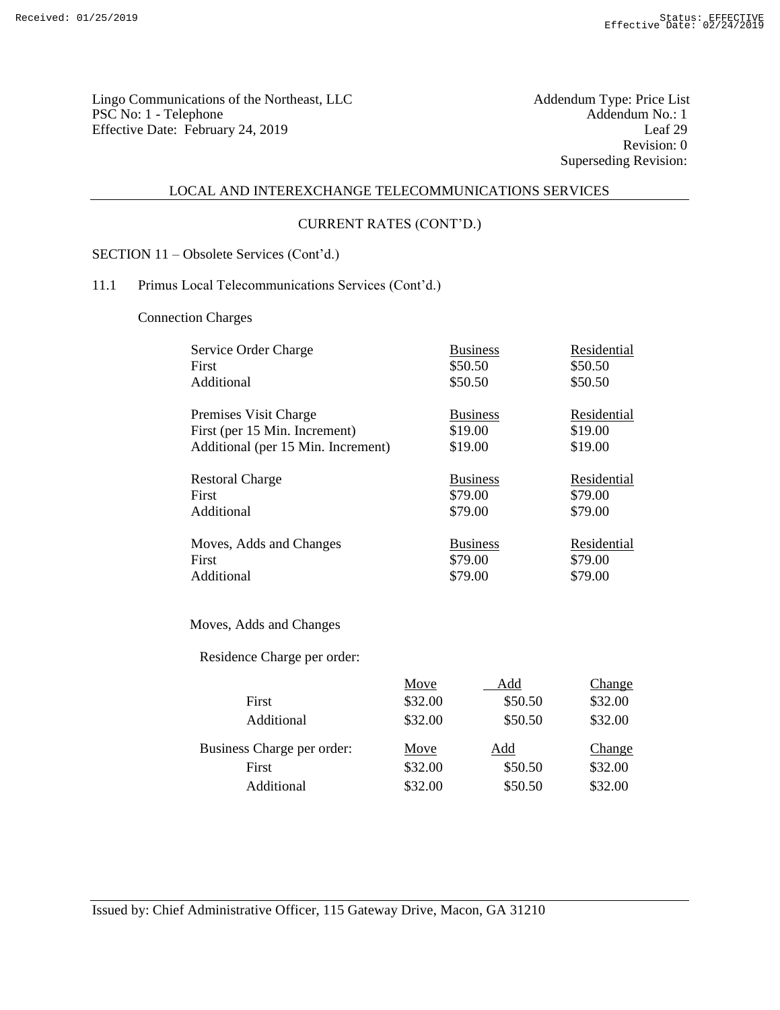Lingo Communications of the Northeast, LLC<br>
PSC No: 1 - Telephone Addendum No.: 1 PSC No: 1 - Telephone Addendum No.: 1<br>
PSC No: 1 - Telephone Addendum No.: 1<br>
Effective Date: February 24, 2019 Leaf 29 Effective Date: February 24, 2019

Revision: 0 Superseding Revision:

## LOCAL AND INTEREXCHANGE TELECOMMUNICATIONS SERVICES

## CURRENT RATES (CONT'D.)

SECTION 11 – Obsolete Services (Cont'd.)

# 11.1 Primus Local Telecommunications Services (Cont'd.)

Connection Charges

| Service Order Charge               |                            | <b>Business</b>           | Residential                  |
|------------------------------------|----------------------------|---------------------------|------------------------------|
| First                              |                            | \$50.50                   | \$50.50                      |
| Additional                         |                            | \$50.50                   | \$50.50                      |
| Premises Visit Charge              |                            | <b>Business</b>           | Residential                  |
| First (per 15 Min. Increment)      |                            | \$19.00                   | \$19.00                      |
| Additional (per 15 Min. Increment) |                            | \$19.00                   | \$19.00                      |
| <b>Restoral Charge</b>             |                            | <b>Business</b>           | Residential                  |
| First                              |                            | \$79.00                   | \$79.00                      |
| Additional                         |                            | \$79.00                   | \$79.00                      |
| Moves, Adds and Changes            |                            | <b>Business</b>           | Residential                  |
| First                              |                            | \$79.00                   | \$79.00                      |
| Additional                         |                            | \$79.00                   | \$79.00                      |
| Moves, Adds and Changes            |                            |                           |                              |
| Residence Charge per order:        |                            |                           |                              |
| First<br>Additional                | Move<br>\$32.00<br>\$32.00 | Add<br>\$50.50<br>\$50.50 | Change<br>\$32.00<br>\$32.00 |
| Business Charge per order:         | Move                       | Add                       | Change                       |
| First                              | \$32.00                    | \$50.50                   | \$32.00                      |
| Additional                         | \$32.00                    | \$50.50                   | \$32.00                      |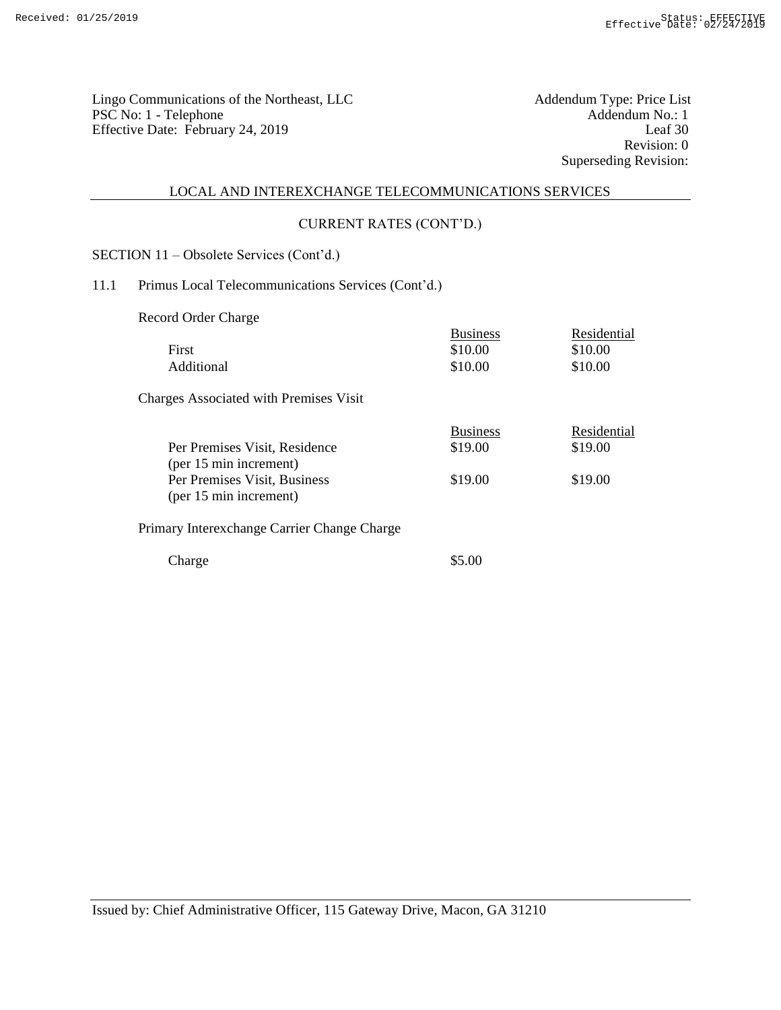Lingo Communications of the Northeast, LLC<br>
PSC No: 1 - Telephone Addendum No.: 1 PSC No: 1 - Telephone Addendum No.: 1<br>
Effective Date: February 24, 2019 Leaf 30 Effective Date: February 24, 2019

Revision: 0 Superseding Revision:

# LOCAL AND INTEREXCHANGE TELECOMMUNICATIONS SERVICES

# CURRENT RATES (CONT'D.)

SECTION 11 – Obsolete Services (Cont'd.)

# 11.1 Primus Local Telecommunications Services (Cont'd.)

Record Order Charge

| First<br>Additional                                                                                               | <b>Business</b><br>\$10.00<br>\$10.00 | Residential<br>\$10.00<br>\$10.00 |
|-------------------------------------------------------------------------------------------------------------------|---------------------------------------|-----------------------------------|
| <b>Charges Associated with Premises Visit</b>                                                                     |                                       |                                   |
| Per Premises Visit, Residence<br>(per 15 min increment)<br>Per Premises Visit, Business<br>(per 15 min increment) | <b>Business</b><br>\$19.00<br>\$19.00 | Residential<br>\$19.00<br>\$19.00 |
| Primary Interexchange Carrier Change Charge                                                                       |                                       |                                   |
| Charge                                                                                                            | \$5.00                                |                                   |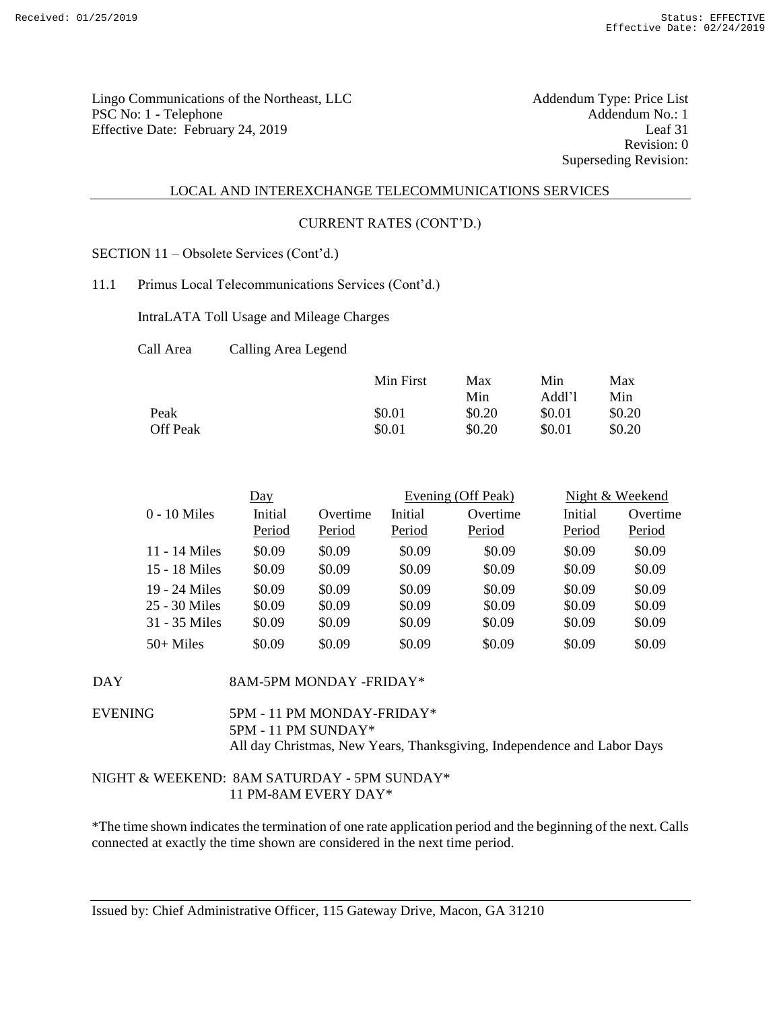Lingo Communications of the Northeast, LLC<br>
PSC No: 1 - Telephone Addendum No.: 1 PSC No: 1 - Telephone Addendum No.: 1<br>
Effective Date: February 24, 2019 [eaf 31] Effective Date: February 24, 2019

Revision: 0 Superseding Revision:

#### LOCAL AND INTEREXCHANGE TELECOMMUNICATIONS SERVICES

#### CURRENT RATES (CONT'D.)

SECTION 11 – Obsolete Services (Cont'd.)

11.1 Primus Local Telecommunications Services (Cont'd.)

IntraLATA Toll Usage and Mileage Charges

Call Area Calling Area Legend

|          | Min First | Max    | Min    | Max    |
|----------|-----------|--------|--------|--------|
|          |           | Min    | Addl'l | Min    |
| Peak     | \$0.01    | \$0.20 | \$0.01 | \$0.20 |
| Off Peak | \$0.01    | \$0.20 | \$0.01 | \$0.20 |

|                 | $\overline{Day}$  |                    |                   | Evening (Off Peak) |                   | Night & Weekend    |
|-----------------|-------------------|--------------------|-------------------|--------------------|-------------------|--------------------|
| $0 - 10$ Miles  | Initial<br>Period | Overtime<br>Period | Initial<br>Period | Overtime<br>Period | Initial<br>Period | Overtime<br>Period |
| 11 - 14 Miles   | \$0.09            | \$0.09             | \$0.09            | \$0.09             | \$0.09            | \$0.09             |
| 15 - 18 Miles   | \$0.09            | \$0.09             | \$0.09            | \$0.09             | \$0.09            | \$0.09             |
| 19 - 24 Miles   | \$0.09            | \$0.09             | \$0.09            | \$0.09             | \$0.09            | \$0.09             |
| $25 - 30$ Miles | \$0.09            | \$0.09             | \$0.09            | \$0.09             | \$0.09            | \$0.09             |
| 31 - 35 Miles   | \$0.09            | \$0.09             | \$0.09            | \$0.09             | \$0.09            | \$0.09             |
| $50+$ Miles     | \$0.09            | \$0.09             | \$0.09            | \$0.09             | \$0.09            | \$0.09             |

DAY 8AM-5PM MONDAY -FRIDAY\*

EVENING 5PM - 11 PM MONDAY-FRIDAY\* 5PM - 11 PM SUNDAY\* All day Christmas, New Years, Thanksgiving, Independence and Labor Days

#### NIGHT & WEEKEND: 8AM SATURDAY - 5PM SUNDAY\* 11 PM-8AM EVERY DAY\*

\*The time shown indicates the termination of one rate application period and the beginning of the next. Calls connected at exactly the time shown are considered in the next time period.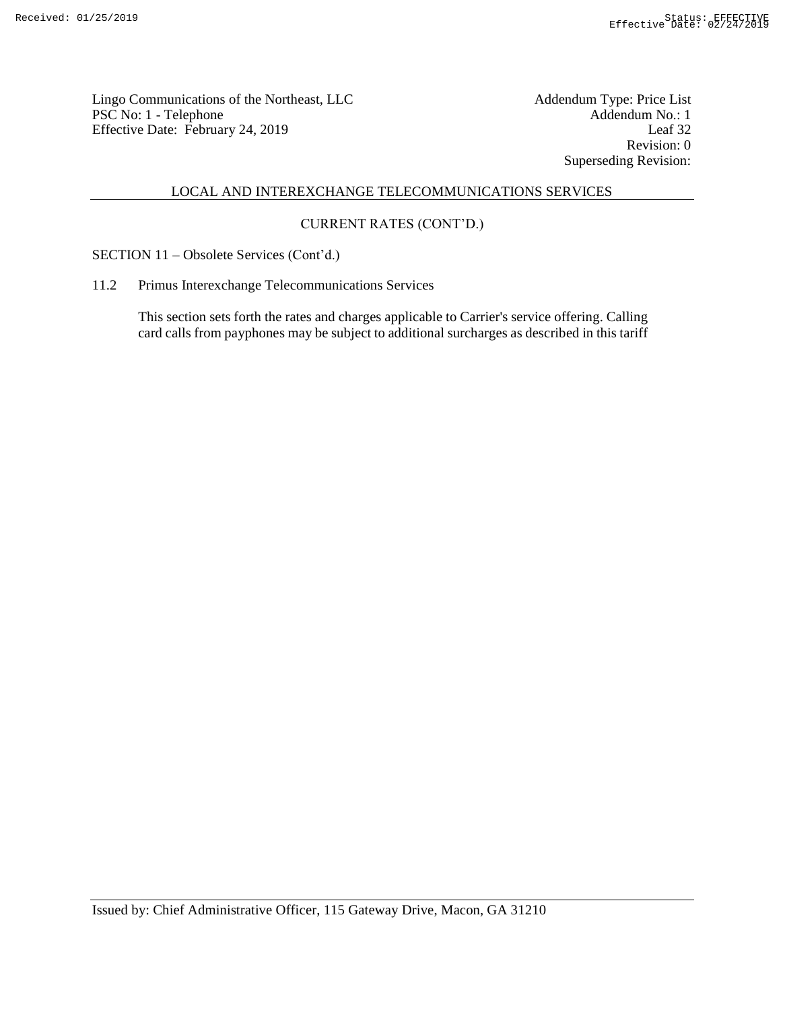Lingo Communications of the Northeast, LLC<br>
PSC No: 1 - Telephone Addendum No.: 1 PSC No: 1 - Telephone Addendum No.: 1<br>Effective Date: February 24, 2019 Leaf 32 Effective Date: February 24, 2019

Revision: 0 Superseding Revision:

# LOCAL AND INTEREXCHANGE TELECOMMUNICATIONS SERVICES

# CURRENT RATES (CONT'D.)

SECTION 11 – Obsolete Services (Cont'd.)

11.2 Primus Interexchange Telecommunications Services

This section sets forth the rates and charges applicable to Carrier's service offering. Calling card calls from payphones may be subject to additional surcharges as described in this tariff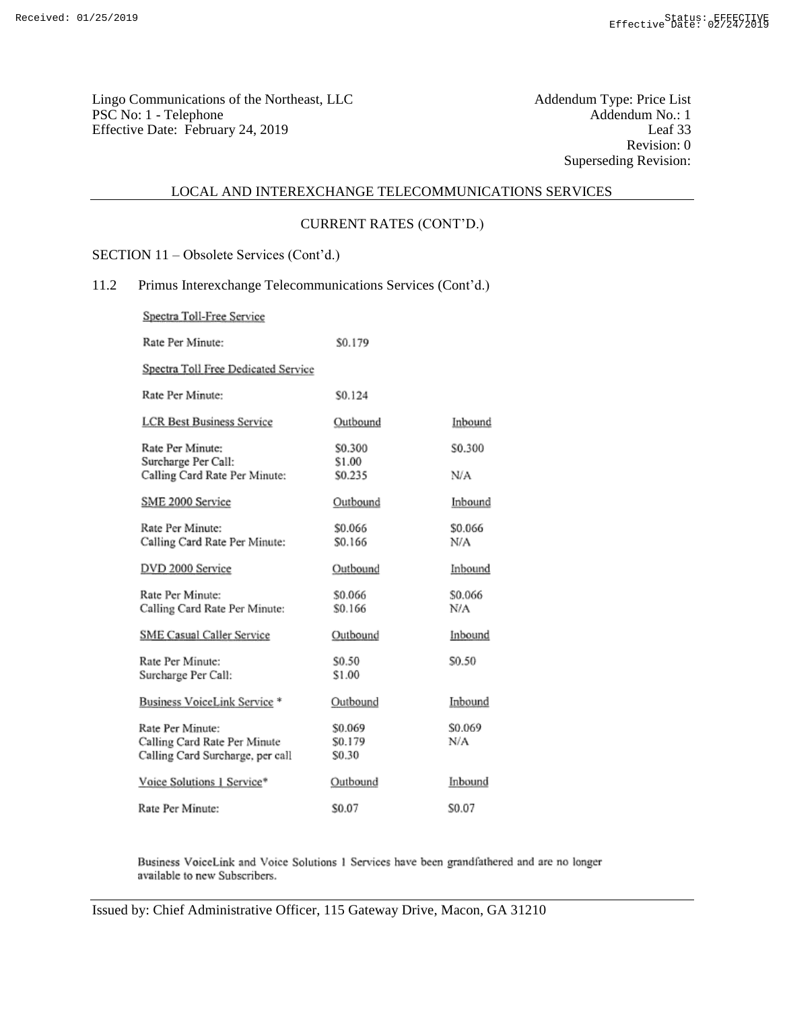Addendum Type: Price List<br>Addendum No.: 1<br>Leaf 33 Revision: 0 Superseding Revision:

# LOCAL AND INTEREXCHANGE TELECOMMUNICATIONS SERVICES

## CURRENT RATES (CONT'D.)

SECTION 11 – Obsolete Services (Cont'd.)

## 11.2 Primus Interexchange Telecommunications Services (Cont'd.)

Spectra Toll-Free Service

| Rate Per Minute:                                                                     | \$0.179                                 |                |
|--------------------------------------------------------------------------------------|-----------------------------------------|----------------|
| Spectra Toll Free Dedicated Service                                                  |                                         |                |
| Rate Per Minute:                                                                     | \$0.124                                 |                |
| LCR Best Business Service                                                            | Outbound                                | Inbound        |
| Rate Per Minute:                                                                     | \$0.300                                 | \$0.300        |
| Surcharge Per Call:<br>Calling Card Rate Per Minute:                                 | \$1.00<br>\$0.235                       | N/A            |
| SME 2000 Service                                                                     | Outbound                                | Inbound        |
| Rate Per Minute:<br>Calling Card Rate Per Minute:                                    | \$0.066<br>\$0.166                      | \$0.066<br>N/A |
| DVD 2000 Service                                                                     | Outbound                                | Inbound        |
| Rate Per Minute:<br>Calling Card Rate Per Minute:                                    | \$0.066<br>\$0.166                      | \$0.066<br>N/A |
| SME Casual Caller Service                                                            | Outbound                                | Inbound        |
| Rate Per Minute:<br>Surcharge Per Call:                                              | \$0.50<br>\$1.00                        | \$0.50         |
| Business VoiceLink Service *                                                         | Outbound                                | Inbound        |
| Rate Per Minute:<br>Calling Card Rate Per Minute<br>Calling Card Surcharge, per call | \$0.069<br>S <sub>0.179</sub><br>\$0.30 | \$0.069<br>N/A |
| Voice Solutions 1 Service*                                                           | Outbound                                | Inbound        |
| Rate Per Minute:                                                                     | S0.07                                   | S0.07          |

Business VoiceLink and Voice Solutions 1 Services have been grandfathered and are no longer available to new Subscribers.

Issued by: Chief Administrative Officer, 115 Gateway Drive, Macon, GA 31210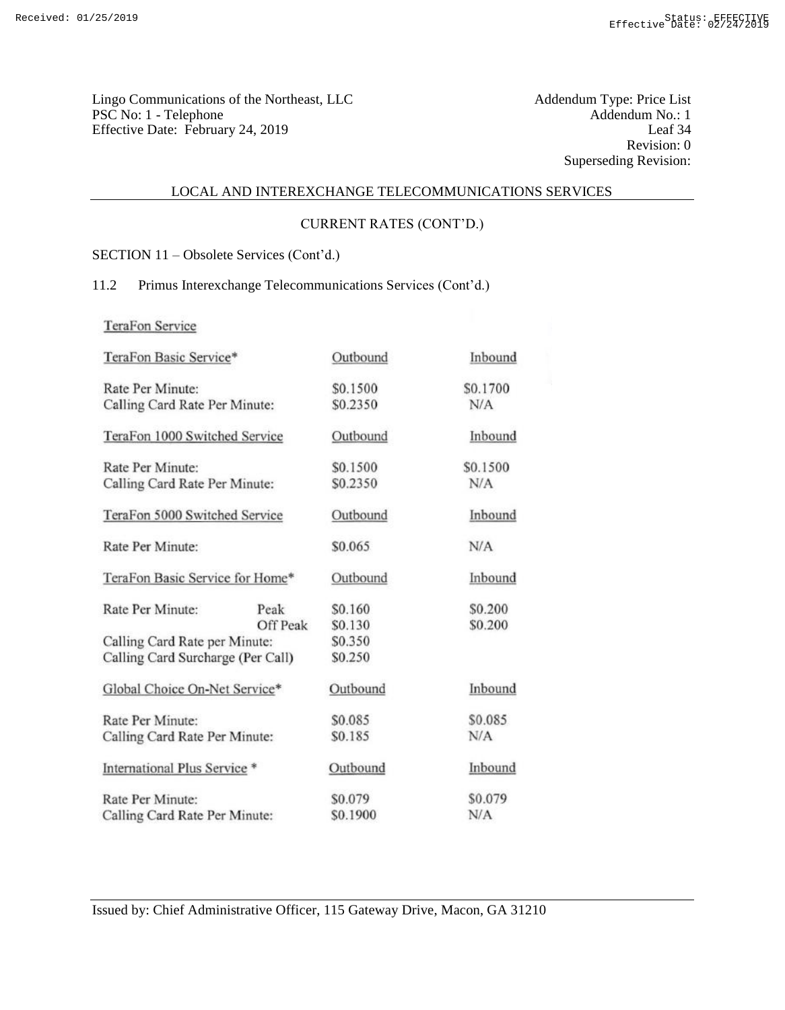Addendum Type: Price List<br>Addendum No.: 1<br>Leaf 34 Revision: 0 Superseding Revision:

# LOCAL AND INTEREXCHANGE TELECOMMUNICATIONS SERVICES

# CURRENT RATES (CONT'D.)

SECTION 11 – Obsolete Services (Cont'd.)

## 11.2 Primus Interexchange Telecommunications Services (Cont'd.)

TeraFon Service

| TeraFon Basic Service*            |          | Outbound | Inbound  |
|-----------------------------------|----------|----------|----------|
| Rate Per Minute:                  |          | \$0.1500 | \$0.1700 |
| Calling Card Rate Per Minute:     |          | \$0.2350 | N/A      |
| TeraFon 1000 Switched Service     |          | Outbound | Inbound  |
| Rate Per Minute:                  |          | \$0.1500 | \$0.1500 |
| Calling Card Rate Per Minute:     |          | \$0.2350 | N/A      |
| TeraFon 5000 Switched Service     |          | Outbound | Inbound  |
| Rate Per Minute:                  |          | \$0.065  | N/A      |
| TeraFon Basic Service for Home*   |          | Outbound | Inbound  |
| Rate Per Minute:                  | Peak     | \$0.160  | \$0.200  |
|                                   | Off Peak | \$0.130  | \$0.200  |
| Calling Card Rate per Minute:     |          | \$0.350  |          |
| Calling Card Surcharge (Per Call) |          | \$0.250  |          |
| Global Choice On-Net Service*     |          | Outbound | Inbound  |
| Rate Per Minute:                  |          | \$0.085  | \$0.085  |
| Calling Card Rate Per Minute:     |          | \$0.185  | N/A      |
| International Plus Service *      |          | Outbound | Inbound  |
| Rate Per Minute:                  |          | \$0.079  | \$0.079  |
| Calling Card Rate Per Minute:     |          | \$0.1900 | N/A      |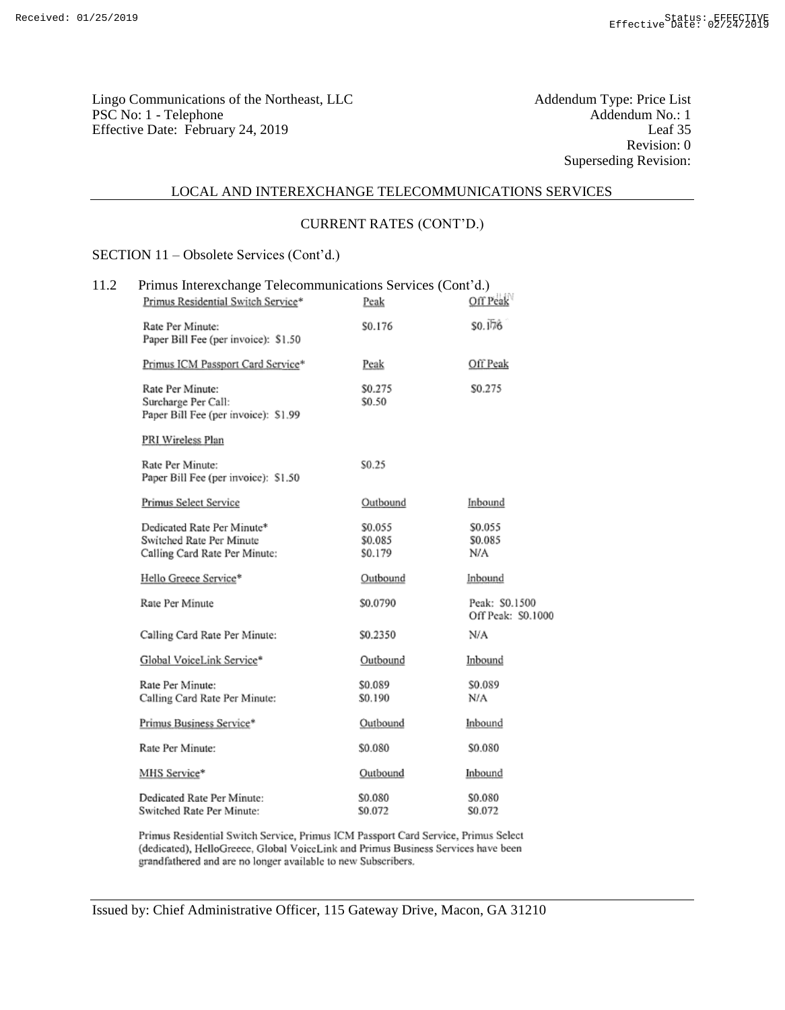Addendum Type: Price List<br>Addendum No.: 1<br>Leaf 35 Revision: 0 Superseding Revision:

# LOCAL AND INTEREXCHANGE TELECOMMUNICATIONS SERVICES

## CURRENT RATES (CONT'D.)

SECTION 11 – Obsolete Services (Cont'd.)

| 11.2 | Primus Interexchange Telecommunications Services (Cont'd.)<br>Primus Residential Switch Service* | Peak                          | Off Peak                             |
|------|--------------------------------------------------------------------------------------------------|-------------------------------|--------------------------------------|
|      | Rate Per Minute:<br>Paper Bill Fee (per invoice): \$1.50                                         | S0.176                        | \$0.176                              |
|      | Primus ICM Passport Card Service*                                                                | Peak                          | Off Peak                             |
|      | Rate Per Minute:<br>Surcharge Per Call:<br>Paper Bill Fee (per invoice): \$1.99                  | \$0.275<br>\$0.50             | \$0.275                              |
|      | PRI Wireless Plan                                                                                |                               |                                      |
|      | Rate Per Minute:<br>Paper Bill Fee (per invoice): \$1.50                                         | S <sub>0.25</sub>             |                                      |
|      | Primus Select Service                                                                            | Outbound                      | Inbound                              |
|      | Dedicated Rate Per Minute*<br>Switched Rate Per Minute<br>Calling Card Rate Per Minute:          | \$0.055<br>\$0.085<br>\$0.179 | \$0.055<br>\$0.085<br>N/A            |
|      | Hello Greece Service*                                                                            | Outbound                      | Inbound                              |
|      | Rate Per Minute                                                                                  | \$0.0790                      | Peak: \$0.1500<br>Off Peak: \$0,1000 |
|      | Calling Card Rate Per Minute:                                                                    | \$0.2350                      | N/A                                  |
|      | Global VoiceLink Service*                                                                        | Outbound                      | Inbound                              |
|      | Rate Per Minute:<br>Calling Card Rate Per Minute:                                                | \$0.089<br>\$0.190            | \$0.089<br>N/A                       |
|      | Primus Business Service*                                                                         | Outbound                      | Inbound                              |
|      | Rate Per Minute:                                                                                 | \$0.080                       | \$0.080                              |
|      | MHS Service*                                                                                     | Outbound                      | Inbound                              |
|      | Dedicated Rate Per Minute:<br>Switched Rate Per Minute:                                          | \$0.080<br>S0.072             | \$0.080<br>S0.072                    |

Primus Residential Switch Service, Primus ICM Passport Card Service, Primus Select (dedicated), HelloGreece, Global VoiceLink and Primus Business Services have been grandfathered and are no longer available to new Subscribers.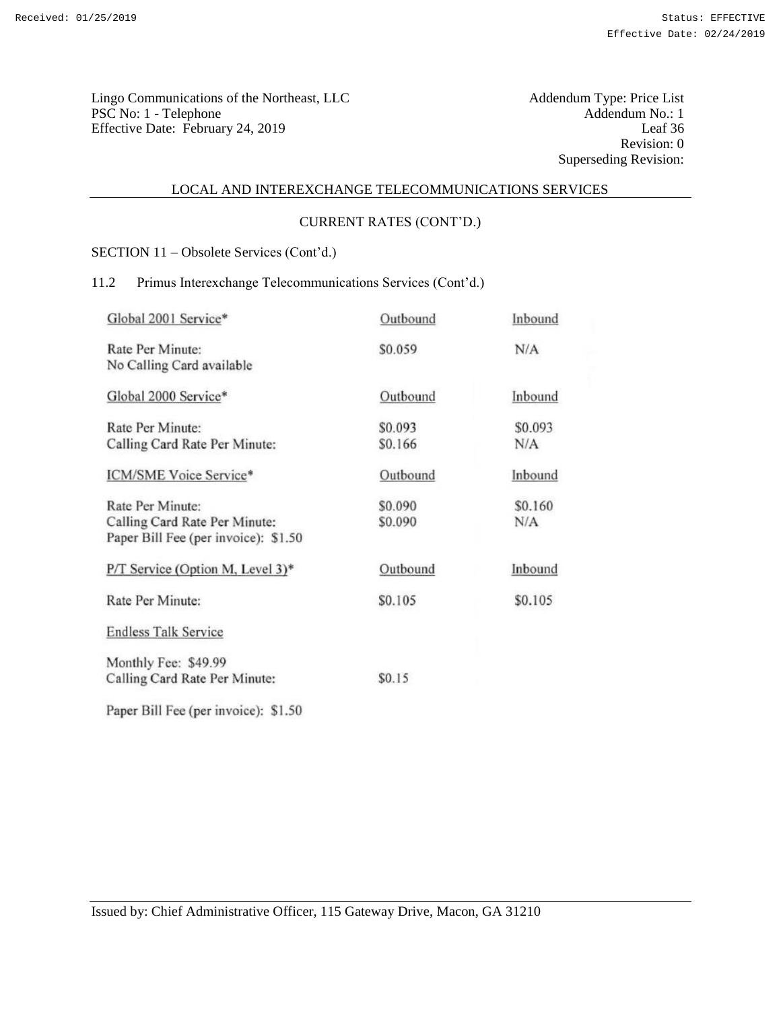Addendum Type: Price List<br>Addendum No.: 1<br>Leaf 36 Revision: 0 Superseding Revision:

#### LOCAL AND INTEREXCHANGE TELECOMMUNICATIONS SERVICES

# CURRENT RATES (CONT'D.)

SECTION 11 – Obsolete Services (Cont'd.)

# 11.2 Primus Interexchange Telecommunications Services (Cont'd.)

| Global 2001 Service*                 | Outbound | Inbound |
|--------------------------------------|----------|---------|
| Rate Per Minute:                     | \$0.059  | N/A     |
| No Calling Card available            |          |         |
| Global 2000 Service*                 | Outbound | Inbound |
| Rate Per Minute:                     | \$0.093  | \$0.093 |
| Calling Card Rate Per Minute:        | \$0.166  | N/A     |
| ICM/SME Voice Service*               | Outbound | Inbound |
| Rate Per Minute:                     | \$0.090  | \$0.160 |
| Calling Card Rate Per Minute:        | \$0.090  | N/A     |
| Paper Bill Fee (per invoice): \$1.50 |          |         |
| P/T Service (Option M, Level 3)*     | Outbound | Inbound |
| Rate Per Minute:                     | \$0.105  | \$0.105 |
| <b>Endless Talk Service</b>          |          |         |
| Monthly Fee: \$49.99                 |          |         |
| Calling Card Rate Per Minute:        | \$0.15   |         |
| Paper Bill Fee (per invoice): \$1.50 |          |         |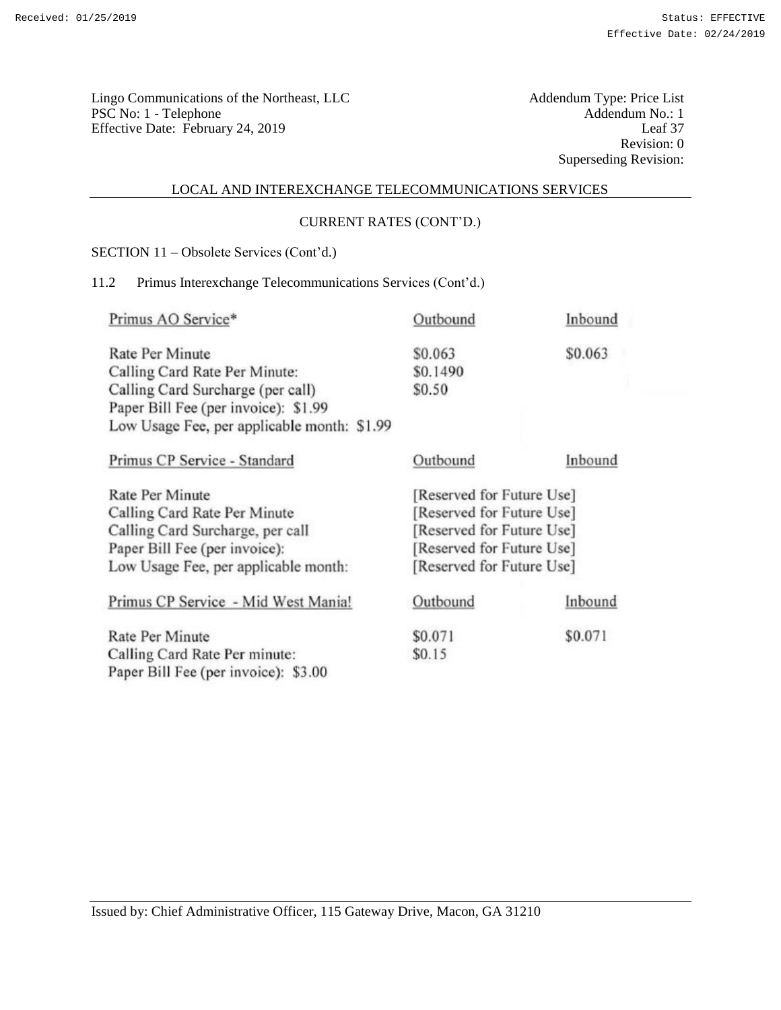Addendum Type: Price List<br>Addendum No.: 1<br>Leaf 37 Revision: 0 Superseding Revision:

#### LOCAL AND INTEREXCHANGE TELECOMMUNICATIONS SERVICES

## CURRENT RATES (CONT'D.)

SECTION 11 – Obsolete Services (Cont'd.)

# 11.2 Primus Interexchange Telecommunications Services (Cont'd.)

| Primus AO Service*                          | Outbound                  | Inbound |
|---------------------------------------------|---------------------------|---------|
| <b>Rate Per Minute</b>                      | \$0.063                   | \$0.063 |
| Calling Card Rate Per Minute:               | \$0.1490                  |         |
| Calling Card Surcharge (per call)           | \$0.50                    |         |
| Paper Bill Fee (per invoice): \$1.99        |                           |         |
| Low Usage Fee, per applicable month: \$1.99 |                           |         |
| Primus CP Service - Standard                | Outbound                  | Inbound |
| Rate Per Minute                             | [Reserved for Future Use] |         |
| Calling Card Rate Per Minute                | [Reserved for Future Use] |         |
| Calling Card Surcharge, per call            | [Reserved for Future Use] |         |
| Paper Bill Fee (per invoice):               | [Reserved for Future Use] |         |
| Low Usage Fee, per applicable month:        | [Reserved for Future Use] |         |
| Primus CP Service - Mid West Mania!         | Outbound                  | Inbound |
| Rate Per Minute                             | \$0.071                   | \$0.071 |
| Calling Card Rate Per minute:               | \$0.15                    |         |
| Paper Bill Fee (per invoice): \$3.00        |                           |         |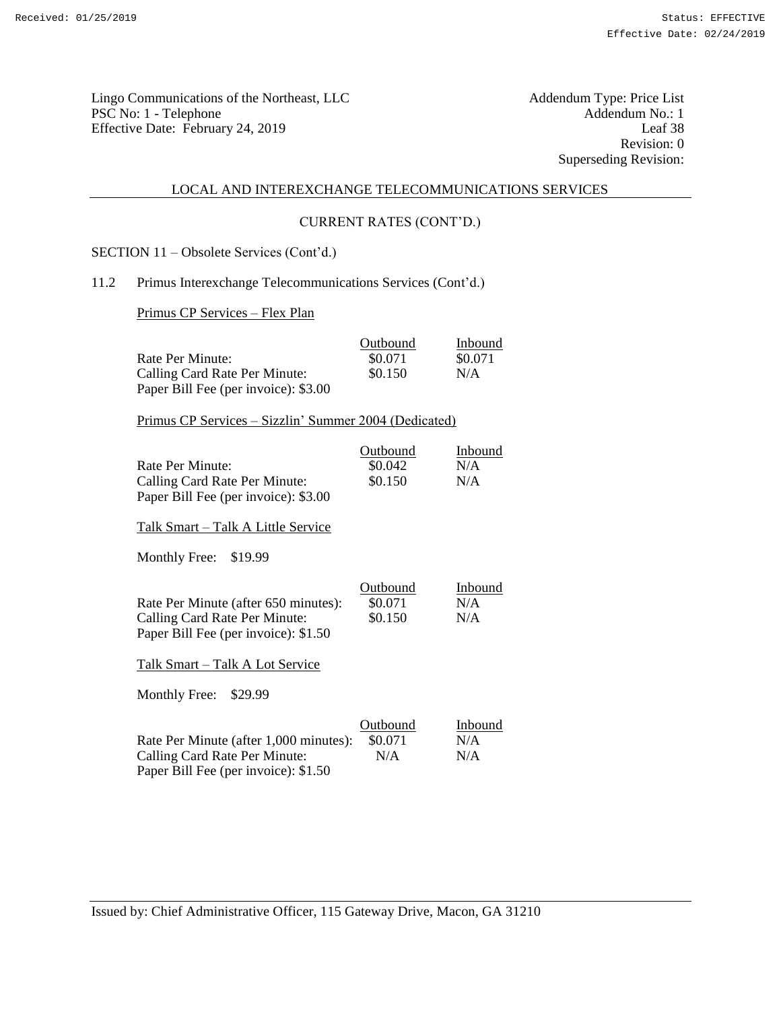Lingo Communications of the Northeast, LLC<br>
PSC No: 1 - Telephone Addendum No.: 1 PSC No: 1 - Telephone Addendum No.: 1<br>
Effective Date: February 24 2019 [eaf 38] Effective Date: February 24, 2019

Revision: 0 Superseding Revision:

#### LOCAL AND INTEREXCHANGE TELECOMMUNICATIONS SERVICES

#### CURRENT RATES (CONT'D.)

SECTION 11 – Obsolete Services (Cont'd.)

#### 11.2 Primus Interexchange Telecommunications Services (Cont'd.)

Primus CP Services – Flex Plan

|                                      | Outbound | Inbound |
|--------------------------------------|----------|---------|
| Rate Per Minute:                     | \$0.071  | \$0.071 |
| Calling Card Rate Per Minute:        | \$0.150  | N/A     |
| Paper Bill Fee (per invoice): \$3.00 |          |         |

Primus CP Services – Sizzlin' Summer 2004 (Dedicated)

|                                      | Outbound | Inbound |
|--------------------------------------|----------|---------|
| Rate Per Minute:                     | \$0.042  | N/A     |
| Calling Card Rate Per Minute:        | \$0.150  | N/A     |
| Paper Bill Fee (per invoice): \$3.00 |          |         |

Talk Smart – Talk A Little Service

Monthly Free: \$19.99

|                                      | Outbound | Inbound |
|--------------------------------------|----------|---------|
| Rate Per Minute (after 650 minutes): | \$0.071  | N/A     |
| Calling Card Rate Per Minute:        | \$0.150  | N/A     |
| Paper Bill Fee (per invoice): \$1.50 |          |         |

Talk Smart – Talk A Lot Service

Monthly Free: \$29.99

|                                        | Outbound | Inbound |
|----------------------------------------|----------|---------|
| Rate Per Minute (after 1,000 minutes): | \$0.071  | N/A     |
| Calling Card Rate Per Minute:          | N/A      | N/A     |
| Paper Bill Fee (per invoice): \$1.50   |          |         |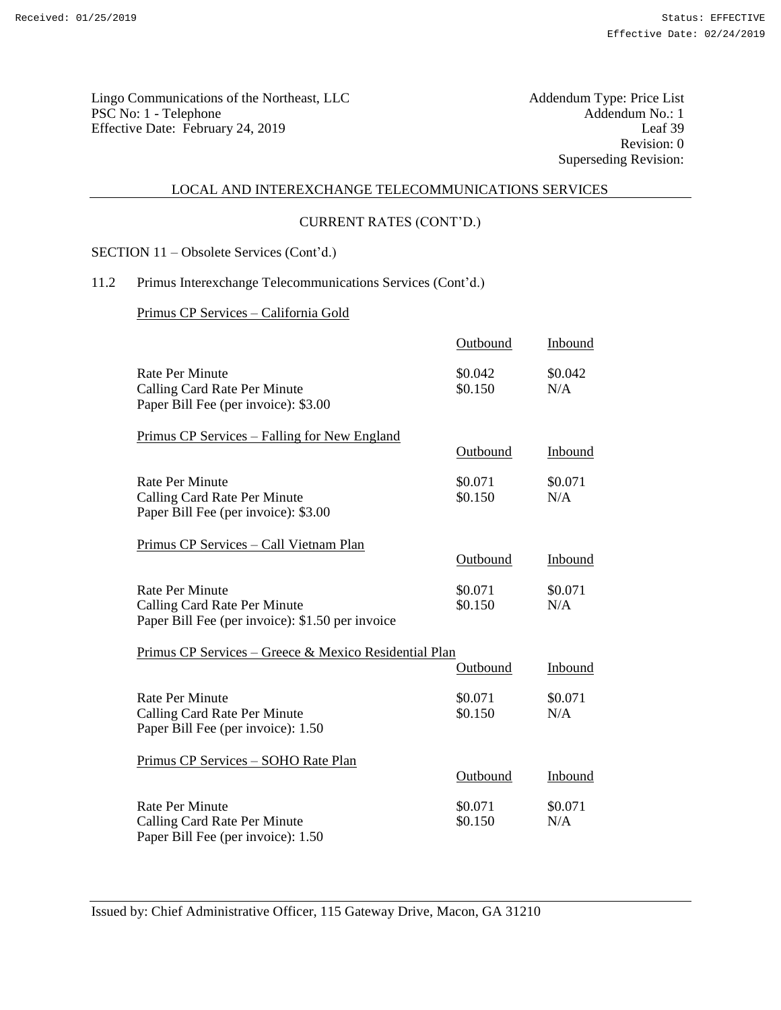Lingo Communications of the Northeast, LLC<br>
PSC No: 1 - Telephone Addendum No.: 1 PSC No: 1 - Telephone Addendum No.: 1<br>Effective Date: February 24, 2019 Leaf 39 Effective Date: February 24, 2019

Revision: 0 Superseding Revision:

#### LOCAL AND INTEREXCHANGE TELECOMMUNICATIONS SERVICES

#### CURRENT RATES (CONT'D.)

SECTION 11 – Obsolete Services (Cont'd.)

# 11.2 Primus Interexchange Telecommunications Services (Cont'd.)

## Primus CP Services – California Gold

|                                                                                                            | Outbound           | Inbound        |
|------------------------------------------------------------------------------------------------------------|--------------------|----------------|
| <b>Rate Per Minute</b><br>Calling Card Rate Per Minute<br>Paper Bill Fee (per invoice): \$3.00             | \$0.042<br>\$0.150 | \$0.042<br>N/A |
| Primus CP Services – Falling for New England                                                               | Outbound           | Inbound        |
| <b>Rate Per Minute</b><br>Calling Card Rate Per Minute<br>Paper Bill Fee (per invoice): \$3.00             | \$0.071<br>\$0.150 | \$0.071<br>N/A |
| Primus CP Services - Call Vietnam Plan                                                                     | Outbound           | Inbound        |
| <b>Rate Per Minute</b><br>Calling Card Rate Per Minute<br>Paper Bill Fee (per invoice): \$1.50 per invoice | \$0.071<br>\$0.150 | \$0.071<br>N/A |
| Primus CP Services – Greece & Mexico Residential Plan                                                      |                    |                |
|                                                                                                            | Outbound           | Inbound        |
| <b>Rate Per Minute</b><br>Calling Card Rate Per Minute<br>Paper Bill Fee (per invoice): 1.50               | \$0.071<br>\$0.150 | \$0.071<br>N/A |
| Primus CP Services - SOHO Rate Plan                                                                        | Outbound           | Inbound        |
| <b>Rate Per Minute</b><br>Calling Card Rate Per Minute<br>Paper Bill Fee (per invoice): 1.50               | \$0.071<br>\$0.150 | \$0.071<br>N/A |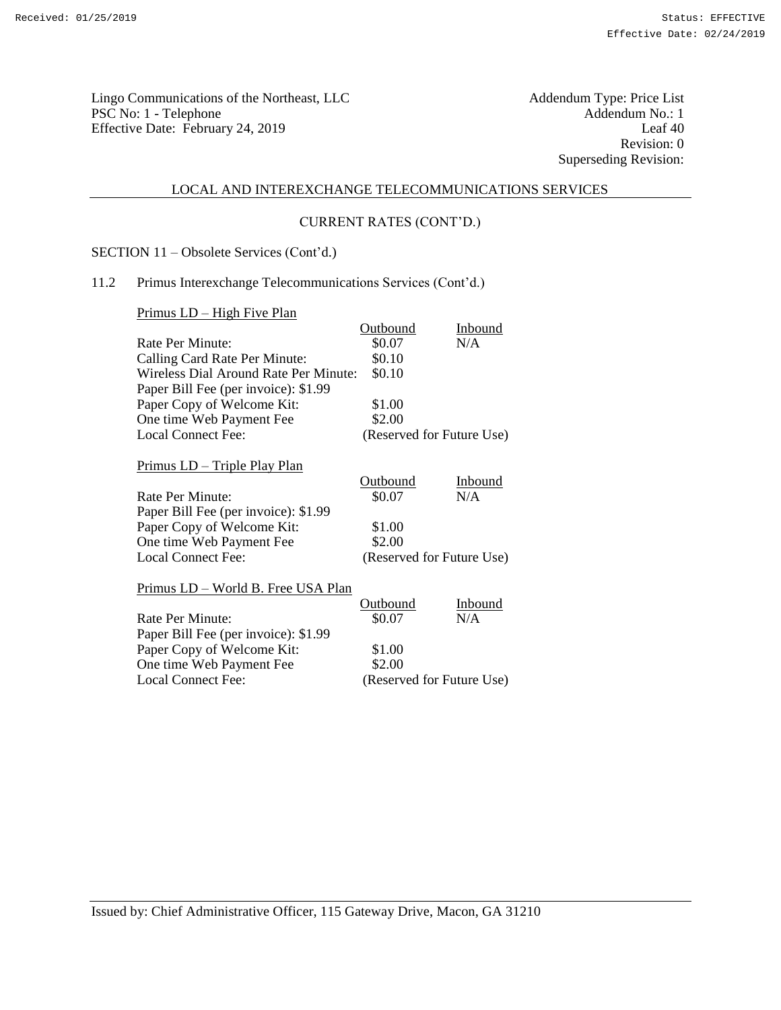Lingo Communications of the Northeast, LLC<br>
PSC No: 1 - Telephone Addendum No.: 1 PSC No: 1 - Telephone Addendum No.: 1<br>Effective Date: February 24, 2019 Leaf 40 Effective Date: February 24, 2019

Revision: 0 Superseding Revision:

#### LOCAL AND INTEREXCHANGE TELECOMMUNICATIONS SERVICES

## CURRENT RATES (CONT'D.)

SECTION 11 – Obsolete Services (Cont'd.)

# 11.2 Primus Interexchange Telecommunications Services (Cont'd.)

Primus LD – High Five Plan

|                                       | Outbound        | Inbound                   |
|---------------------------------------|-----------------|---------------------------|
| Rate Per Minute:                      | \$0.07          | N/A                       |
| Calling Card Rate Per Minute:         | \$0.10          |                           |
| Wireless Dial Around Rate Per Minute: | \$0.10          |                           |
| Paper Bill Fee (per invoice): \$1.99  |                 |                           |
| Paper Copy of Welcome Kit:            | \$1.00          |                           |
| One time Web Payment Fee              | \$2.00          |                           |
| <b>Local Connect Fee:</b>             |                 | (Reserved for Future Use) |
| <u> Primus LD – Triple Play Plan</u>  |                 |                           |
|                                       | <b>Outbound</b> | Inbound                   |
| Rate Per Minute:                      | \$0.07          | N/A                       |
| Paper Bill Fee (per invoice): \$1.99  |                 |                           |
| Paper Copy of Welcome Kit:            | \$1.00          |                           |
| One time Web Payment Fee              | \$2.00          |                           |
| <b>Local Connect Fee:</b>             |                 | (Reserved for Future Use) |
| Primus LD - World B. Free USA Plan    |                 |                           |
|                                       | <b>Outbound</b> | Inbound                   |
| Rate Per Minute:                      | \$0.07          | N/A                       |
| Paper Bill Fee (per invoice): \$1.99  |                 |                           |
| Paper Copy of Welcome Kit:            | \$1.00          |                           |
| One time Web Payment Fee              | \$2.00          |                           |
| <b>Local Connect Fee:</b>             |                 | (Reserved for Future Use) |

Issued by: Chief Administrative Officer, 115 Gateway Drive, Macon, GA 31210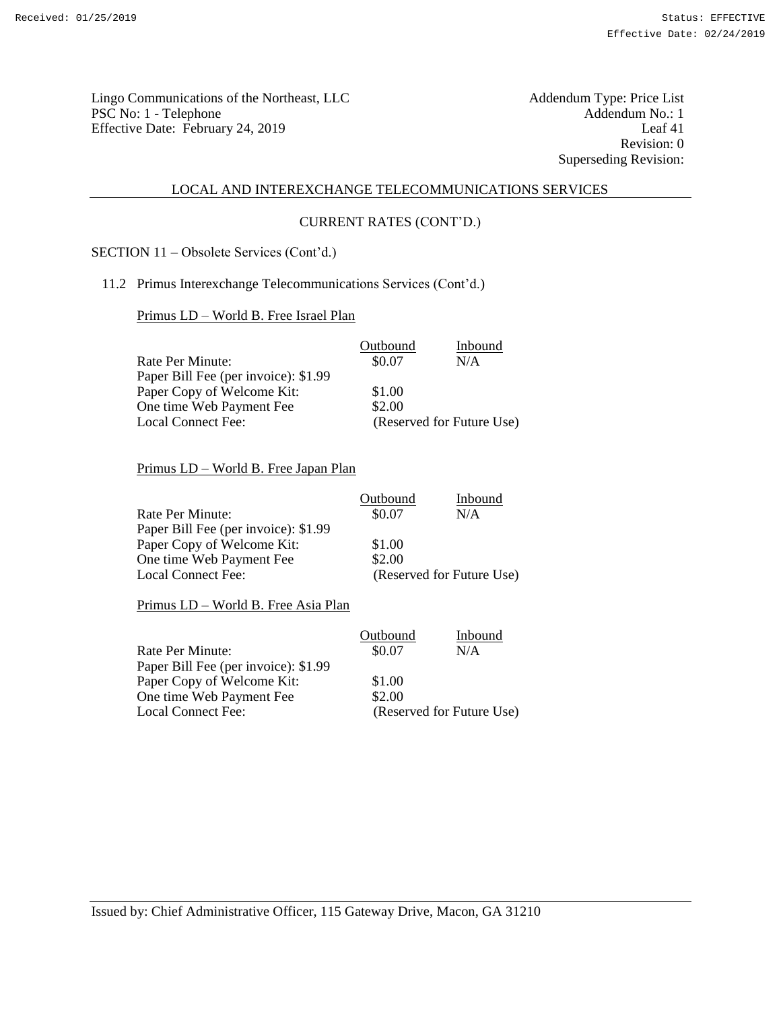Lingo Communications of the Northeast, LLC<br>
PSC No: 1 - Telephone Addendum No.: 1 PSC No: 1 - Telephone Addendum No.: 1<br>
Effective Date: February 24 2019 [eaf 41] Effective Date: February 24, 2019

Revision: 0 Superseding Revision:

#### LOCAL AND INTEREXCHANGE TELECOMMUNICATIONS SERVICES

## CURRENT RATES (CONT'D.)

SECTION 11 – Obsolete Services (Cont'd.)

## 11.2 Primus Interexchange Telecommunications Services (Cont'd.)

Primus LD – World B. Free Israel Plan

|                                      | Outbound | Inbound                   |
|--------------------------------------|----------|---------------------------|
| Rate Per Minute:                     | \$0.07   | N/A                       |
| Paper Bill Fee (per invoice): \$1.99 |          |                           |
| Paper Copy of Welcome Kit:           | \$1.00   |                           |
| One time Web Payment Fee             | \$2.00   |                           |
| Local Connect Fee:                   |          | (Reserved for Future Use) |

# Primus LD – World B. Free Japan Plan

|                                      | Outbound | Inbound                   |
|--------------------------------------|----------|---------------------------|
| Rate Per Minute:                     | \$0.07   | N/A                       |
| Paper Bill Fee (per invoice): \$1.99 |          |                           |
| Paper Copy of Welcome Kit:           | \$1.00   |                           |
| One time Web Payment Fee             | \$2.00   |                           |
| <b>Local Connect Fee:</b>            |          | (Reserved for Future Use) |

Primus LD – World B. Free Asia Plan

|                                      | Outbound | Inbound                   |
|--------------------------------------|----------|---------------------------|
| Rate Per Minute:                     | \$0.07   | N/A                       |
| Paper Bill Fee (per invoice): \$1.99 |          |                           |
| Paper Copy of Welcome Kit:           | \$1.00   |                           |
| One time Web Payment Fee             | \$2.00   |                           |
| <b>Local Connect Fee:</b>            |          | (Reserved for Future Use) |
|                                      |          |                           |

Issued by: Chief Administrative Officer, 115 Gateway Drive, Macon, GA 31210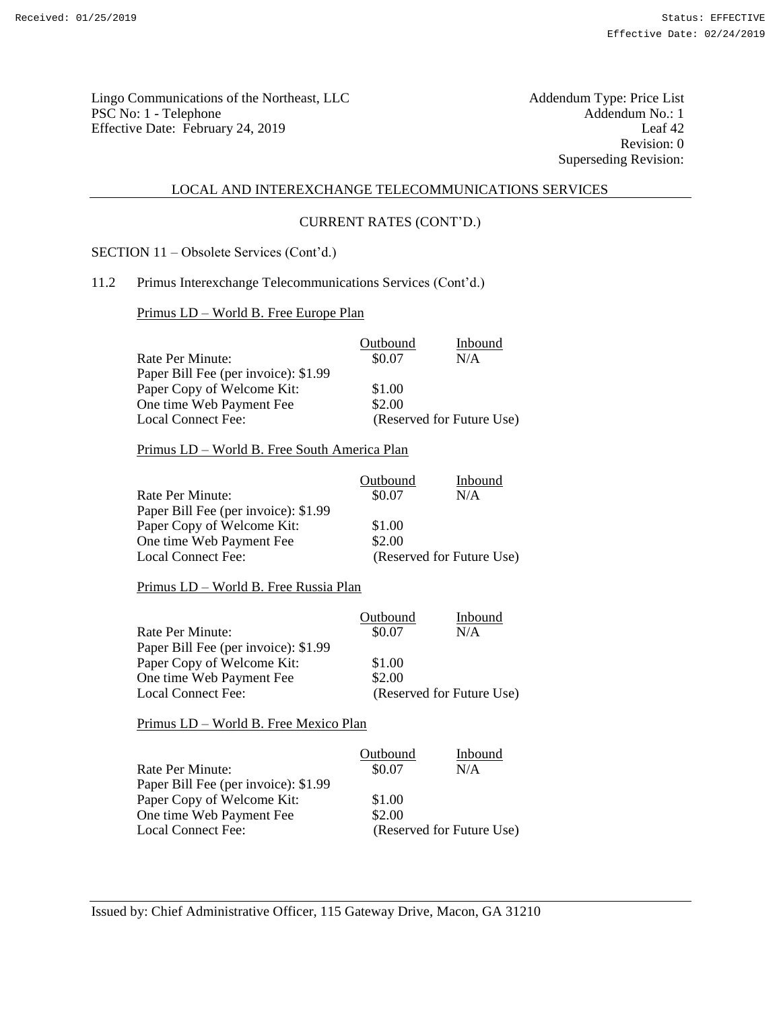Lingo Communications of the Northeast, LLC<br>
PSC No: 1 - Telephone Addendum No.: 1 PSC No: 1 - Telephone Addendum No.: 1<br>
Effective Date: February 24 2019 [eaf 42] Effective Date: February 24, 2019

Revision: 0 Superseding Revision:

#### LOCAL AND INTEREXCHANGE TELECOMMUNICATIONS SERVICES

## CURRENT RATES (CONT'D.)

SECTION 11 – Obsolete Services (Cont'd.)

### 11.2 Primus Interexchange Telecommunications Services (Cont'd.)

Primus LD – World B. Free Europe Plan

|                                      | Outbound | Inbound                   |
|--------------------------------------|----------|---------------------------|
| Rate Per Minute:                     | \$0.07   | N/A                       |
| Paper Bill Fee (per invoice): \$1.99 |          |                           |
| Paper Copy of Welcome Kit:           | \$1.00   |                           |
| One time Web Payment Fee             | \$2.00   |                           |
| Local Connect Fee:                   |          | (Reserved for Future Use) |

### Primus LD – World B. Free South America Plan

|                                      | Outbound | Inbound                   |
|--------------------------------------|----------|---------------------------|
| Rate Per Minute:                     | \$0.07   | N/A                       |
| Paper Bill Fee (per invoice): \$1.99 |          |                           |
| Paper Copy of Welcome Kit:           | \$1.00   |                           |
| One time Web Payment Fee             | \$2.00   |                           |
| Local Connect Fee:                   |          | (Reserved for Future Use) |

#### Primus LD – World B. Free Russia Plan

|                                      | Outbound | Inbound                   |
|--------------------------------------|----------|---------------------------|
| Rate Per Minute:                     | \$0.07   | N/A                       |
| Paper Bill Fee (per invoice): \$1.99 |          |                           |
| Paper Copy of Welcome Kit:           | \$1.00   |                           |
| One time Web Payment Fee             | \$2.00   |                           |
| Local Connect Fee:                   |          | (Reserved for Future Use) |

Primus LD – World B. Free Mexico Plan

|                                      | Outbound | Inbound                   |
|--------------------------------------|----------|---------------------------|
| Rate Per Minute:                     | \$0.07   | N/A                       |
| Paper Bill Fee (per invoice): \$1.99 |          |                           |
| Paper Copy of Welcome Kit:           | \$1.00   |                           |
| One time Web Payment Fee             | \$2.00   |                           |
| Local Connect Fee:                   |          | (Reserved for Future Use) |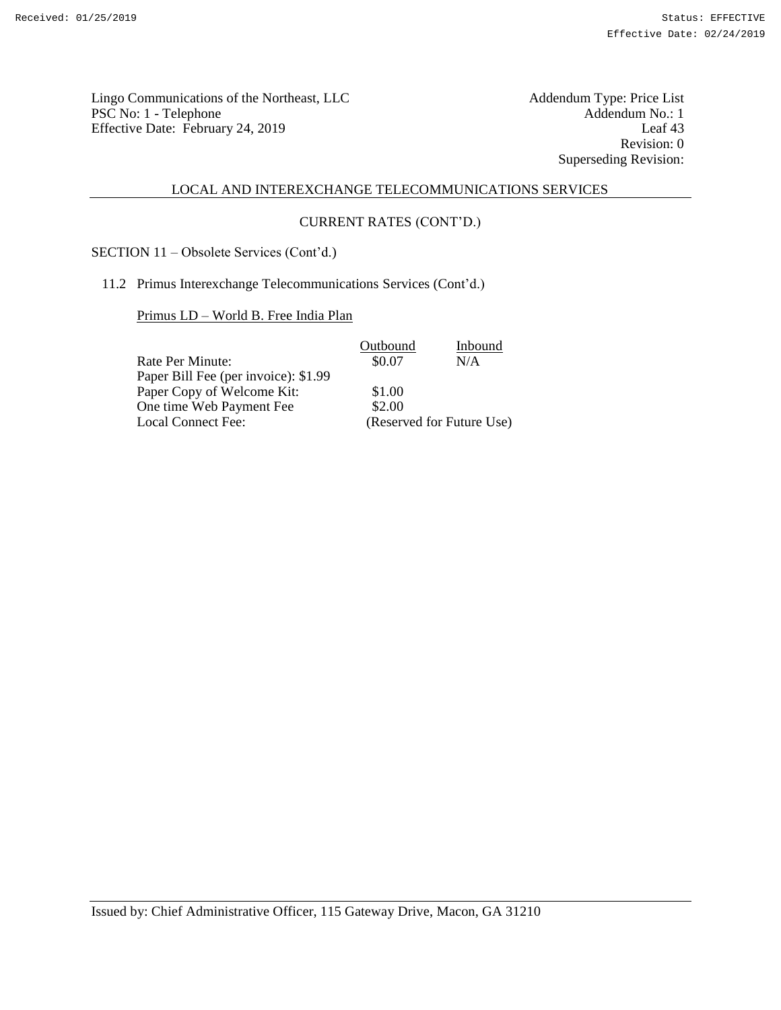Addendum Type: Price List<br>Addendum No.: 1<br>Leaf 43 Revision: 0 Superseding Revision:

#### LOCAL AND INTEREXCHANGE TELECOMMUNICATIONS SERVICES

## CURRENT RATES (CONT'D.)

SECTION 11 – Obsolete Services (Cont'd.)

11.2 Primus Interexchange Telecommunications Services (Cont'd.)

Primus LD – World B. Free India Plan

|                                      | Outbound | Inbound                   |
|--------------------------------------|----------|---------------------------|
| Rate Per Minute:                     | \$0.07   | N/A                       |
| Paper Bill Fee (per invoice): \$1.99 |          |                           |
| Paper Copy of Welcome Kit:           | \$1.00   |                           |
| One time Web Payment Fee             | \$2.00   |                           |
| Local Connect Fee:                   |          | (Reserved for Future Use) |